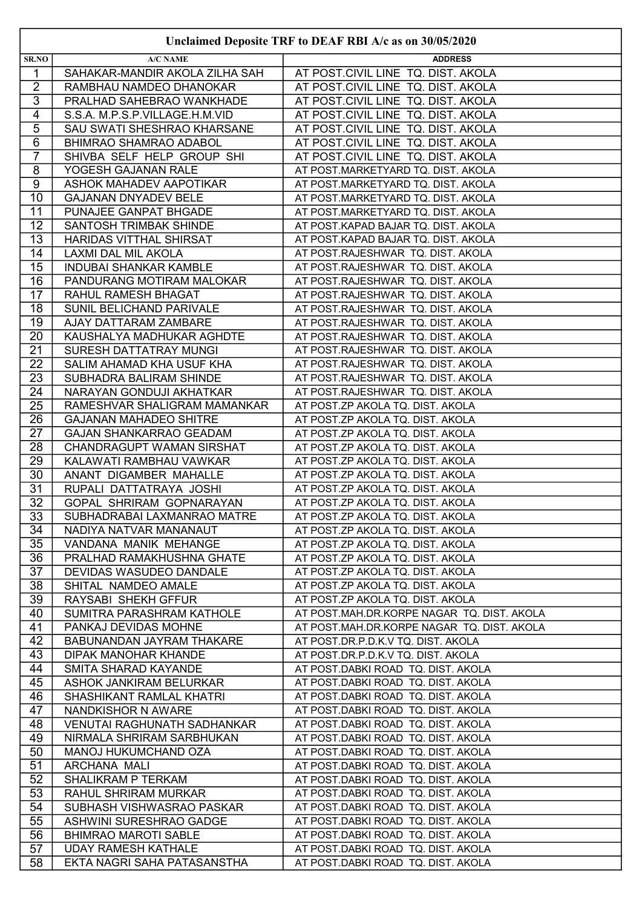|                         |                                    | UNCREDIVIDUPOSIVE TIME TO DEFITE INDEED AT AS ON JUIUS/2020 |
|-------------------------|------------------------------------|-------------------------------------------------------------|
| SR.NO                   | <b>A/C NAME</b>                    | <b>ADDRESS</b>                                              |
| $\mathbf{1}$            | SAHAKAR-MANDIR AKOLA ZILHA SAH     | AT POST.CIVIL LINE TQ. DIST. AKOLA                          |
| $\overline{2}$          | RAMBHAU NAMDEO DHANOKAR            | AT POST.CIVIL LINE TQ. DIST. AKOLA                          |
| $\overline{3}$          | PRALHAD SAHEBRAO WANKHADE          | AT POST.CIVIL LINE TQ. DIST. AKOLA                          |
| $\overline{\mathbf{4}}$ | S.S.A. M.P.S.P.VILLAGE.H.M.VID     | AT POST.CIVIL LINE TQ. DIST. AKOLA                          |
| 5                       | SAU SWATI SHESHRAO KHARSANE        | AT POST.CIVIL LINE TQ. DIST. AKOLA                          |
| $\overline{6}$          | <b>BHIMRAO SHAMRAO ADABOL</b>      | AT POST.CIVIL LINE TQ. DIST. AKOLA                          |
| $\overline{7}$          | SHIVBA SELF HELP GROUP SHI         | AT POST.CIVIL LINE TQ. DIST. AKOLA                          |
| 8                       | YOGESH GAJANAN RALE                | AT POST.MARKETYARD TQ. DIST. AKOLA                          |
| 9                       | ASHOK MAHADEV AAPOTIKAR            | AT POST.MARKETYARD TQ. DIST. AKOLA                          |
| 10                      | <b>GAJANAN DNYADEV BELE</b>        | AT POST.MARKETYARD TQ. DIST. AKOLA                          |
| 11                      | PUNAJEE GANPAT BHGADE              | AT POST.MARKETYARD TQ. DIST. AKOLA                          |
| 12                      | SANTOSH TRIMBAK SHINDE             | AT POST.KAPAD BAJAR TQ. DIST. AKOLA                         |
| 13                      | HARIDAS VITTHAL SHIRSAT            | AT POST.KAPAD BAJAR TQ. DIST. AKOLA                         |
| 14                      | LAXMI DAL MIL AKOLA                | AT POST.RAJESHWAR TQ. DIST. AKOLA                           |
| 15                      | <b>INDUBAI SHANKAR KAMBLE</b>      | AT POST.RAJESHWAR TQ. DIST. AKOLA                           |
| 16                      | PANDURANG MOTIRAM MALOKAR          | AT POST.RAJESHWAR TQ. DIST. AKOLA                           |
| 17                      | RAHUL RAMESH BHAGAT                | AT POST.RAJESHWAR TQ. DIST. AKOLA                           |
| 18                      | SUNIL BELICHAND PARIVALE           | AT POST.RAJESHWAR TQ. DIST. AKOLA                           |
| $\overline{19}$         | AJAY DATTARAM ZAMBARE              | AT POST.RAJESHWAR TQ. DIST. AKOLA                           |
| 20                      | KAUSHALYA MADHUKAR AGHDTE          | AT POST.RAJESHWAR TQ. DIST. AKOLA                           |
| 21                      | SURESH DATTATRAY MUNGI             | AT POST.RAJESHWAR TQ. DIST. AKOLA                           |
| $\overline{22}$         | SALIM AHAMAD KHA USUF KHA          | AT POST.RAJESHWAR TQ. DIST. AKOLA                           |
| $\overline{23}$         | SUBHADRA BALIRAM SHINDE            | AT POST.RAJESHWAR TQ. DIST. AKOLA                           |
| 24                      | NARAYAN GONDUJI AKHATKAR           | AT POST.RAJESHWAR TQ. DIST. AKOLA                           |
| 25                      | RAMESHVAR SHALIGRAM MAMANKAR       | AT POST.ZP AKOLA TQ. DIST. AKOLA                            |
| 26                      | <b>GAJANAN MAHADEO SHITRE</b>      | AT POST.ZP AKOLA TQ. DIST. AKOLA                            |
| 27                      | <b>GAJAN SHANKARRAO GEADAM</b>     | AT POST.ZP AKOLA TQ. DIST. AKOLA                            |
| 28                      | CHANDRAGUPT WAMAN SIRSHAT          | AT POST.ZP AKOLA TQ. DIST. AKOLA                            |
| 29                      | KALAWATI RAMBHAU VAWKAR            | AT POST.ZP AKOLA TQ. DIST. AKOLA                            |
| 30                      | ANANT DIGAMBER MAHALLE             | AT POST.ZP AKOLA TQ. DIST. AKOLA                            |
| 31                      | RUPALI DATTATRAYA JOSHI            | AT POST.ZP AKOLA TQ. DIST. AKOLA                            |
| 32                      | GOPAL SHRIRAM GOPNARAYAN           | AT POST.ZP AKOLA TQ. DIST. AKOLA                            |
| 33                      | SUBHADRABAI LAXMANRAO MATRE        | AT POST.ZP AKOLA TQ. DIST. AKOLA                            |
| 34                      | NADIYA NATVAR MANANAUT             | AT POST.ZP AKOLA TQ. DIST. AKOLA                            |
| 35                      | VANDANA MANIK MEHANGE              | AT POST.ZP AKOLA TQ. DIST. AKOLA                            |
| 36                      | PRALHAD RAMAKHUSHNA GHATE          | AT POST.ZP AKOLA TQ. DIST. AKOLA                            |
| 37                      | DEVIDAS WASUDEO DANDALE            | AT POST.ZP AKOLA TQ. DIST. AKOLA                            |
| 38                      | SHITAL NAMDEO AMALE                | AT POST.ZP AKOLA TQ. DIST. AKOLA                            |
| 39                      | RAYSABI SHEKH GFFUR                | AT POST.ZP AKOLA TQ. DIST. AKOLA                            |
| 40                      | SUMITRA PARASHRAM KATHOLE          | AT POST.MAH.DR.KORPE NAGAR TQ. DIST. AKOLA                  |
| 41                      | PANKAJ DEVIDAS MOHNE               | AT POST.MAH.DR.KORPE NAGAR TQ. DIST. AKOLA                  |
| 42                      | BABUNANDAN JAYRAM THAKARE          | AT POST.DR.P.D.K.V TQ. DIST. AKOLA                          |
| 43                      | DIPAK MANOHAR KHANDE               | AT POST.DR.P.D.K.V TQ. DIST. AKOLA                          |
| 44                      | SMITA SHARAD KAYANDE               | AT POST.DABKI ROAD TQ. DIST. AKOLA                          |
| 45                      | ASHOK JANKIRAM BELURKAR            | AT POST.DABKI ROAD TQ. DIST. AKOLA                          |
| 46                      | SHASHIKANT RAMLAL KHATRI           | AT POST.DABKI ROAD TQ. DIST. AKOLA                          |
| 47                      | NANDKISHOR N AWARE                 | AT POST.DABKI ROAD TQ. DIST. AKOLA                          |
| 48                      | <b>VENUTAI RAGHUNATH SADHANKAR</b> | AT POST.DABKI ROAD TQ. DIST. AKOLA                          |
| 49                      | NIRMALA SHRIRAM SARBHUKAN          | AT POST.DABKI ROAD TQ. DIST. AKOLA                          |
| 50                      | MANOJ HUKUMCHAND OZA               | AT POST.DABKI ROAD TQ. DIST. AKOLA                          |
| 51                      | ARCHANA MALI                       | AT POST.DABKI ROAD TQ. DIST. AKOLA                          |
| 52                      | <b>SHALIKRAM P TERKAM</b>          | AT POST.DABKI ROAD TQ. DIST. AKOLA                          |
| 53                      | RAHUL SHRIRAM MURKAR               | AT POST.DABKI ROAD TQ. DIST. AKOLA                          |
| 54                      | SUBHASH VISHWASRAO PASKAR          | AT POST.DABKI ROAD TQ. DIST. AKOLA                          |
| $\overline{55}$         | ASHWINI SURESHRAO GADGE            | AT POST.DABKI ROAD TQ. DIST. AKOLA                          |
| 56                      | <b>BHIMRAO MAROTI SABLE</b>        | AT POST.DABKI ROAD TQ. DIST. AKOLA                          |
| 57                      | <b>UDAY RAMESH KATHALE</b>         | AT POST.DABKI ROAD TQ. DIST. AKOLA                          |
| 58                      | EKTA NAGRI SAHA PATASANSTHA        | AT POST.DABKI ROAD TQ. DIST. AKOLA                          |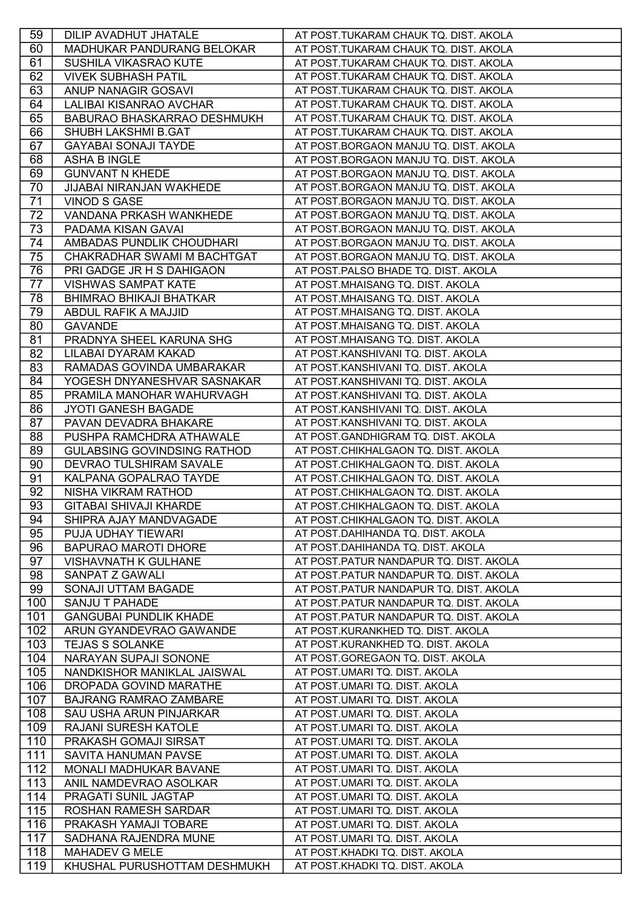| 59  | DILIP AVADHUT JHATALE              | AT POST.TUKARAM CHAUK TQ. DIST. AKOLA   |
|-----|------------------------------------|-----------------------------------------|
| 60  | MADHUKAR PANDURANG BELOKAR         | AT POST.TUKARAM CHAUK TQ. DIST. AKOLA   |
| 61  | SUSHILA VIKASRAO KUTE              | AT POST.TUKARAM CHAUK TQ. DIST. AKOLA   |
| 62  | <b>VIVEK SUBHASH PATIL</b>         | AT POST.TUKARAM CHAUK TQ. DIST. AKOLA   |
| 63  | ANUP NANAGIR GOSAVI                | AT POST.TUKARAM CHAUK TQ. DIST. AKOLA   |
| 64  | LALIBAI KISANRAO AVCHAR            | AT POST.TUKARAM CHAUK TQ. DIST. AKOLA   |
| 65  | <b>BABURAO BHASKARRAO DESHMUKH</b> | AT POST.TUKARAM CHAUK TQ. DIST. AKOLA   |
| 66  | SHUBH LAKSHMI B.GAT                | AT POST.TUKARAM CHAUK TQ. DIST. AKOLA   |
| 67  | <b>GAYABAI SONAJI TAYDE</b>        | AT POST.BORGAON MANJU TQ. DIST. AKOLA   |
| 68  | <b>ASHA B INGLE</b>                | AT POST.BORGAON MANJU TQ. DIST. AKOLA   |
| 69  | <b>GUNVANT N KHEDE</b>             | AT POST.BORGAON MANJU TQ. DIST. AKOLA   |
| 70  | <b>JIJABAI NIRANJAN WAKHEDE</b>    | AT POST.BORGAON MANJU TQ. DIST. AKOLA   |
| 71  | <b>VINOD S GASE</b>                | AT POST.BORGAON MANJU TQ. DIST. AKOLA   |
| 72  | VANDANA PRKASH WANKHEDE            | AT POST.BORGAON MANJU TQ. DIST. AKOLA   |
| 73  | PADAMA KISAN GAVAI                 | AT POST.BORGAON MANJU TQ. DIST. AKOLA   |
| 74  | AMBADAS PUNDLIK CHOUDHARI          | AT POST.BORGAON MANJU TQ. DIST. AKOLA   |
| 75  | CHAKRADHAR SWAMI M BACHTGAT        | AT POST.BORGAON MANJU TQ. DIST. AKOLA   |
| 76  | PRI GADGE JR H S DAHIGAON          | AT POST.PALSO BHADE TQ. DIST. AKOLA     |
| 77  | <b>VISHWAS SAMPAT KATE</b>         | AT POST.MHAISANG TQ. DIST. AKOLA        |
| 78  | <b>BHIMRAO BHIKAJI BHATKAR</b>     | AT POST.MHAISANG TQ. DIST. AKOLA        |
| 79  | ABDUL RAFIK A MAJJID               | AT POST.MHAISANG TQ. DIST. AKOLA        |
| 80  | <b>GAVANDE</b>                     | AT POST.MHAISANG TQ. DIST. AKOLA        |
| 81  | PRADNYA SHEEL KARUNA SHG           | AT POST.MHAISANG TQ. DIST. AKOLA        |
| 82  | LILABAI DYARAM KAKAD               | AT POST.KANSHIVANI TQ. DIST. AKOLA      |
| 83  | RAMADAS GOVINDA UMBARAKAR          | AT POST.KANSHIVANI TQ. DIST. AKOLA      |
| 84  | YOGESH DNYANESHVAR SASNAKAR        | AT POST.KANSHIVANI TQ. DIST. AKOLA      |
| 85  | PRAMILA MANOHAR WAHURVAGH          | AT POST.KANSHIVANI TQ. DIST. AKOLA      |
| 86  | JYOTI GANESH BAGADE                | AT POST.KANSHIVANI TQ. DIST. AKOLA      |
| 87  | PAVAN DEVADRA BHAKARE              | AT POST.KANSHIVANI TQ. DIST. AKOLA      |
| 88  | PUSHPA RAMCHDRA ATHAWALE           | AT POST.GANDHIGRAM TQ. DIST. AKOLA      |
| 89  | <b>GULABSING GOVINDSING RATHOD</b> | AT POST.CHIKHALGAON TQ. DIST. AKOLA     |
| 90  | DEVRAO TULSHIRAM SAVALE            | AT POST.CHIKHALGAON TQ. DIST. AKOLA     |
| 91  | KALPANA GOPALRAO TAYDE             | AT POST.CHIKHALGAON TQ. DIST. AKOLA     |
| 92  | NISHA VIKRAM RATHOD                | AT POST.CHIKHALGAON TQ. DIST. AKOLA     |
| 93  | <b>GITABAI SHIVAJI KHARDE</b>      | AT POST.CHIKHALGAON TQ. DIST. AKOLA     |
| 94  | SHIPRA AJAY MANDVAGADE             | AT POST.CHIKHALGAON TQ. DIST. AKOLA     |
| 95  | PUJA UDHAY TIEWARI                 | AT POST.DAHIHANDA TQ. DIST. AKOLA       |
| 96  | <b>BAPURAO MAROTI DHORE</b>        | AT POST.DAHIHANDA TQ. DIST. AKOLA       |
| 97  | <b>VISHAVNATH K GULHANE</b>        | AT POST.PATUR NANDAPUR TQ. DIST. AKOLA  |
| 98  | <b>SANPAT Z GAWALI</b>             | AT POST.PATUR NANDAPUR TQ. DIST. AKOLA  |
| 99  | SONAJI UTTAM BAGADE                | AT POST. PATUR NANDAPUR TQ. DIST. AKOLA |
| 100 | SANJU T PAHADE                     | AT POST. PATUR NANDAPUR TQ. DIST. AKOLA |
| 101 | <b>GANGUBAI PUNDLIK KHADE</b>      | AT POST.PATUR NANDAPUR TQ. DIST. AKOLA  |
| 102 | ARUN GYANDEVRAO GAWANDE            | AT POST.KURANKHED TQ. DIST. AKOLA       |
| 103 | <b>TEJAS S SOLANKE</b>             | AT POST.KURANKHED TQ. DIST. AKOLA       |
| 104 | NARAYAN SUPAJI SONONE              | AT POST.GOREGAON TQ. DIST. AKOLA        |
| 105 | NANDKISHOR MANIKLAL JAISWAL        | AT POST.UMARI TQ. DIST. AKOLA           |
| 106 | DROPADA GOVIND MARATHE             | AT POST.UMARI TQ. DIST. AKOLA           |
| 107 | <b>BAJRANG RAMRAO ZAMBARE</b>      | AT POST.UMARI TQ. DIST. AKOLA           |
| 108 | <b>SAU USHA ARUN PINJARKAR</b>     | AT POST.UMARI TQ. DIST. AKOLA           |
| 109 | RAJANI SURESH KATOLE               | AT POST.UMARI TQ. DIST. AKOLA           |
| 110 | PRAKASH GOMAJI SIRSAT              | AT POST.UMARI TQ. DIST. AKOLA           |
| 111 | SAVITA HANUMAN PAVSE               | AT POST.UMARI TQ. DIST. AKOLA           |
| 112 | MONALI MADHUKAR BAVANE             | AT POST.UMARI TQ. DIST. AKOLA           |
| 113 | ANIL NAMDEVRAO ASOLKAR             | AT POST.UMARI TQ. DIST. AKOLA           |
| 114 | PRAGATI SUNIL JAGTAP               | AT POST.UMARI TQ. DIST. AKOLA           |
| 115 | ROSHAN RAMESH SARDAR               | AT POST.UMARI TQ. DIST. AKOLA           |
| 116 | PRAKASH YAMAJI TOBARE              | AT POST.UMARI TQ. DIST. AKOLA           |
| 117 | SADHANA RAJENDRA MUNE              | AT POST.UMARI TQ. DIST. AKOLA           |
| 118 | MAHADEV G MELE                     | AT POST.KHADKI TQ. DIST. AKOLA          |
| 119 | KHUSHAL PURUSHOTTAM DESHMUKH       | AT POST.KHADKI TQ. DIST. AKOLA          |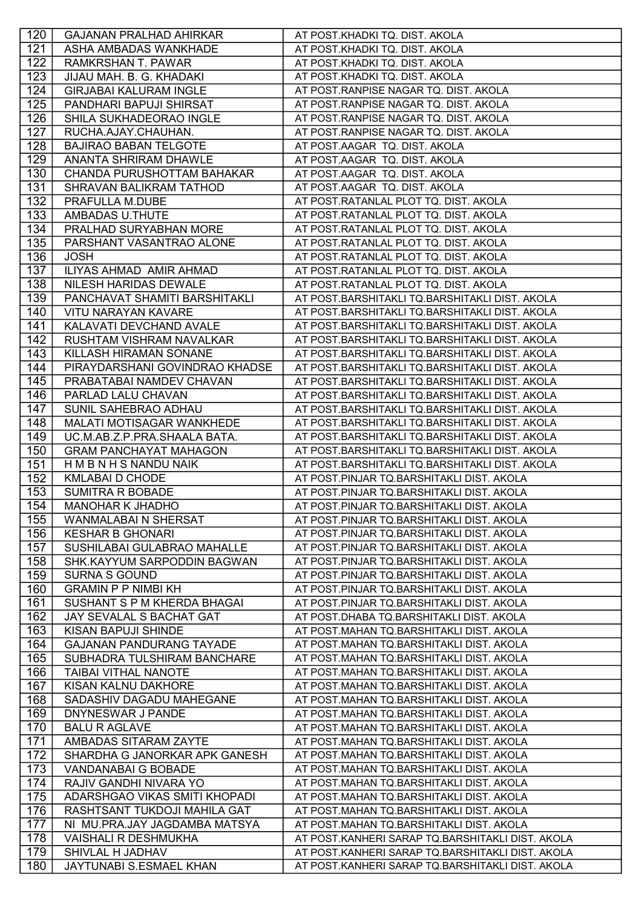| 120        | <b>GAJANAN PRALHAD AHIRKAR</b>                         | AT POST.KHADKI TQ. DIST. AKOLA                                                         |
|------------|--------------------------------------------------------|----------------------------------------------------------------------------------------|
| 121        | ASHA AMBADAS WANKHADE                                  | AT POST.KHADKI TQ. DIST. AKOLA                                                         |
| 122        | <b>RAMKRSHAN T. PAWAR</b>                              | AT POST.KHADKI TQ. DIST. AKOLA                                                         |
| 123        | JIJAU MAH. B. G. KHADAKI                               | AT POST.KHADKI TQ. DIST. AKOLA                                                         |
| 124        | <b>GIRJABAI KALURAM INGLE</b>                          | AT POST.RANPISE NAGAR TQ. DIST. AKOLA                                                  |
| 125        | PANDHARI BAPUJI SHIRSAT                                | AT POST. RANPISE NAGAR TQ. DIST. AKOLA                                                 |
| 126        | SHILA SUKHADEORAO INGLE                                | AT POST. RANPISE NAGAR TQ. DIST. AKOLA                                                 |
| 127        | RUCHA.AJAY.CHAUHAN.                                    | AT POST.RANPISE NAGAR TQ. DIST. AKOLA                                                  |
| 128        | <b>BAJIRAO BABAN TELGOTE</b>                           | AT POST.AAGAR TQ. DIST. AKOLA                                                          |
| 129        | ANANTA SHRIRAM DHAWLE                                  | AT POST.AAGAR TQ. DIST. AKOLA                                                          |
| 130        | CHANDA PURUSHOTTAM BAHAKAR                             | AT POST.AAGAR TQ. DIST. AKOLA                                                          |
| 131        | SHRAVAN BALIKRAM TATHOD                                | AT POST.AAGAR TQ. DIST. AKOLA                                                          |
| 132        | PRAFULLA M.DUBE                                        | AT POST.RATANLAL PLOT TQ. DIST. AKOLA                                                  |
| 133        | AMBADAS U.THUTE                                        | AT POST.RATANLAL PLOT TQ. DIST. AKOLA                                                  |
| 134        | PRALHAD SURYABHAN MORE                                 | AT POST.RATANLAL PLOT TQ. DIST. AKOLA                                                  |
| 135        | PARSHANT VASANTRAO ALONE                               | AT POST.RATANLAL PLOT TQ. DIST. AKOLA                                                  |
| 136        | <b>JOSH</b>                                            | AT POST.RATANLAL PLOT TQ. DIST. AKOLA                                                  |
| 137        | ILIYAS AHMAD AMIR AHMAD                                | AT POST.RATANLAL PLOT TQ. DIST. AKOLA                                                  |
| 138        | NILESH HARIDAS DEWALE                                  | AT POST.RATANLAL PLOT TQ. DIST. AKOLA                                                  |
| 139        | PANCHAVAT SHAMITI BARSHITAKLI                          | AT POST.BARSHITAKLI TQ.BARSHITAKLI DIST. AKOLA                                         |
| 140        | <b>VITU NARAYAN KAVARE</b>                             | AT POST.BARSHITAKLI TQ.BARSHITAKLI DIST. AKOLA                                         |
| 141        | KALAVATI DEVCHAND AVALE                                | AT POST.BARSHITAKLI TQ.BARSHITAKLI DIST. AKOLA                                         |
| 142        | RUSHTAM VISHRAM NAVALKAR                               | AT POST.BARSHITAKLI TQ.BARSHITAKLI DIST. AKOLA                                         |
| 143        | KILLASH HIRAMAN SONANE                                 | AT POST.BARSHITAKLI TQ.BARSHITAKLI DIST. AKOLA                                         |
| 144        | PIRAYDARSHANI GOVINDRAO KHADSE                         | AT POST.BARSHITAKLI TQ.BARSHITAKLI DIST. AKOLA                                         |
| 145        | PRABATABAI NAMDEV CHAVAN                               | AT POST.BARSHITAKLI TQ.BARSHITAKLI DIST. AKOLA                                         |
| 146        | PARLAD LALU CHAVAN                                     | AT POST.BARSHITAKLI TQ.BARSHITAKLI DIST. AKOLA                                         |
| 147        | SUNIL SAHEBRAO ADHAU                                   | AT POST.BARSHITAKLI TQ.BARSHITAKLI DIST. AKOLA                                         |
| 148        | MALATI MOTISAGAR WANKHEDE                              | AT POST.BARSHITAKLI TQ.BARSHITAKLI DIST. AKOLA                                         |
| 149        | UC.M.AB.Z.P.PRA.SHAALA BATA.                           | AT POST.BARSHITAKLI TQ.BARSHITAKLI DIST. AKOLA                                         |
| 150        | <b>GRAM PANCHAYAT MAHAGON</b>                          | AT POST.BARSHITAKLI TQ.BARSHITAKLI DIST. AKOLA                                         |
| 151        | H M B N H S NANDU NAIK                                 | AT POST.BARSHITAKLI TQ.BARSHITAKLI DIST. AKOLA                                         |
| 152        | <b>KMLABAI D CHODE</b>                                 | AT POST.PINJAR TQ.BARSHITAKLI DIST. AKOLA                                              |
| 153        | <b>SUMITRA R BOBADE</b>                                | AT POST.PINJAR TQ.BARSHITAKLI DIST. AKOLA                                              |
| 154        | <b>MANOHAR K JHADHO</b>                                | AT POST.PINJAR TQ.BARSHITAKLI DIST. AKOLA                                              |
|            |                                                        |                                                                                        |
| 155<br>156 | <b>WANMALABAI N SHERSAT</b><br><b>KESHAR B GHONARI</b> | AT POST.PINJAR TQ.BARSHITAKLI DIST. AKOLA<br>AT POST.PINJAR TQ.BARSHITAKLI DIST. AKOLA |
|            |                                                        |                                                                                        |
| 157        | SUSHILABAI GULABRAO MAHALLE                            | AT POST.PINJAR TQ.BARSHITAKLI DIST. AKOLA<br>AT POST.PINJAR TQ.BARSHITAKLI DIST. AKOLA |
| 158        | SHK.KAYYUM SARPODDIN BAGWAN<br><b>SURNA S GOUND</b>    |                                                                                        |
| 159        |                                                        | AT POST.PINJAR TQ.BARSHITAKLI DIST. AKOLA                                              |
| 160        | <b>GRAMIN P P NIMBI KH</b>                             | AT POST.PINJAR TQ.BARSHITAKLI DIST. AKOLA                                              |
| 161        | SUSHANT S P M KHERDA BHAGAI                            | AT POST.PINJAR TQ.BARSHITAKLI DIST. AKOLA                                              |
| 162        | JAY SEVALAL S BACHAT GAT                               | AT POST.DHABA TQ.BARSHITAKLI DIST. AKOLA                                               |
| 163        | KISAN BAPUJI SHINDE                                    | AT POST.MAHAN TQ.BARSHITAKLI DIST. AKOLA                                               |
| 164        | <b>GAJANAN PANDURANG TAYADE</b>                        | AT POST.MAHAN TQ.BARSHITAKLI DIST. AKOLA                                               |
| 165        | SUBHADRA TULSHIRAM BANCHARE                            | AT POST.MAHAN TQ.BARSHITAKLI DIST. AKOLA                                               |
| 166        | TAIBAI VITHAL NANOTE                                   | AT POST.MAHAN TQ.BARSHITAKLI DIST. AKOLA                                               |
| 167        | KISAN KALNU DAKHORE                                    | AT POST.MAHAN TQ.BARSHITAKLI DIST. AKOLA                                               |
| 168        | SADASHIV DAGADU MAHEGANE                               | AT POST.MAHAN TQ.BARSHITAKLI DIST. AKOLA                                               |
| 169        | DNYNESWAR J PANDE                                      | AT POST.MAHAN TQ.BARSHITAKLI DIST. AKOLA                                               |
| 170        | <b>BALU R AGLAVE</b>                                   | AT POST.MAHAN TQ.BARSHITAKLI DIST. AKOLA                                               |
| 171<br>172 | AMBADAS SITARAM ZAYTE                                  | AT POST.MAHAN TQ.BARSHITAKLI DIST. AKOLA                                               |
|            | SHARDHA G JANORKAR APK GANESH                          | AT POST.MAHAN TQ.BARSHITAKLI DIST. AKOLA                                               |
| 173        | VANDANABAI G BOBADE                                    | AT POST.MAHAN TQ.BARSHITAKLI DIST. AKOLA                                               |
| 174        | RAJIV GANDHI NIVARA YO                                 | AT POST.MAHAN TQ.BARSHITAKLI DIST. AKOLA                                               |
| 175        | ADARSHGAO VIKAS SMITI KHOPADI                          | AT POST.MAHAN TQ.BARSHITAKLI DIST. AKOLA                                               |
| 176        | RASHTSANT TUKDOJI MAHILA GAT                           | AT POST.MAHAN TQ.BARSHITAKLI DIST. AKOLA                                               |
| 177        | NI MU.PRA.JAY JAGDAMBA MATSYA                          | AT POST.MAHAN TQ.BARSHITAKLI DIST. AKOLA                                               |
| 178        | <b>VAISHALI R DESHMUKHA</b>                            | AT POST.KANHERI SARAP TQ.BARSHITAKLI DIST. AKOLA                                       |
| 179        | SHIVLAL H JADHAV                                       | AT POST.KANHERI SARAP TQ.BARSHITAKLI DIST. AKOLA                                       |
| 180        | JAYTUNABI S.ESMAEL KHAN                                | AT POST.KANHERI SARAP TQ.BARSHITAKLI DIST. AKOLA                                       |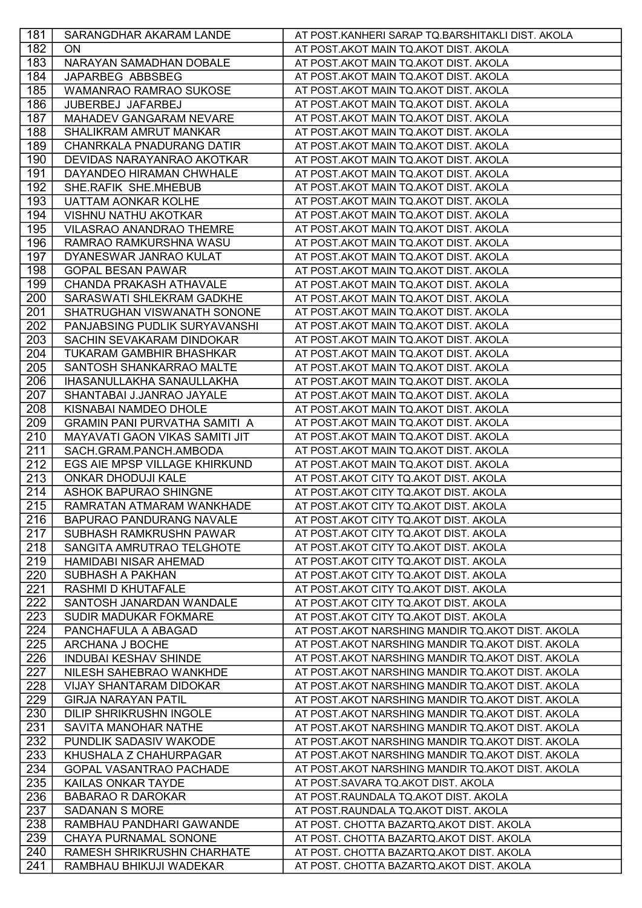| 181 | SARANGDHAR AKARAM LANDE              | AT POST.KANHERI SARAP TQ.BARSHITAKLI DIST. AKOLA |
|-----|--------------------------------------|--------------------------------------------------|
| 182 | ON                                   | AT POST.AKOT MAIN TQ.AKOT DIST. AKOLA            |
| 183 | NARAYAN SAMADHAN DOBALE              | AT POST.AKOT MAIN TQ.AKOT DIST. AKOLA            |
| 184 | JAPARBEG ABBSBEG                     | AT POST.AKOT MAIN TQ.AKOT DIST. AKOLA            |
| 185 | <b>WAMANRAO RAMRAO SUKOSE</b>        | AT POST.AKOT MAIN TQ.AKOT DIST. AKOLA            |
| 186 | JUBERBEJ JAFARBEJ                    | AT POST.AKOT MAIN TQ.AKOT DIST. AKOLA            |
| 187 | MAHADEV GANGARAM NEVARE              | AT POST.AKOT MAIN TQ.AKOT DIST. AKOLA            |
| 188 | SHALIKRAM AMRUT MANKAR               | AT POST.AKOT MAIN TQ.AKOT DIST. AKOLA            |
| 189 | <b>CHANRKALA PNADURANG DATIR</b>     | AT POST.AKOT MAIN TQ.AKOT DIST. AKOLA            |
| 190 | DEVIDAS NARAYANRAO AKOTKAR           | AT POST.AKOT MAIN TQ.AKOT DIST. AKOLA            |
| 191 | DAYANDEO HIRAMAN CHWHALE             | AT POST.AKOT MAIN TQ.AKOT DIST. AKOLA            |
| 192 | SHE.RAFIK SHE.MHEBUB                 | AT POST.AKOT MAIN TQ.AKOT DIST. AKOLA            |
| 193 | <b>UATTAM AONKAR KOLHE</b>           | AT POST.AKOT MAIN TQ.AKOT DIST. AKOLA            |
| 194 | <b>VISHNU NATHU AKOTKAR</b>          | AT POST.AKOT MAIN TQ.AKOT DIST. AKOLA            |
| 195 | VILASRAO ANANDRAO THEMRE             | AT POST.AKOT MAIN TQ.AKOT DIST. AKOLA            |
| 196 | RAMRAO RAMKURSHNA WASU               | AT POST.AKOT MAIN TQ.AKOT DIST. AKOLA            |
| 197 | DYANESWAR JANRAO KULAT               | AT POST.AKOT MAIN TQ.AKOT DIST. AKOLA            |
| 198 | <b>GOPAL BESAN PAWAR</b>             | AT POST.AKOT MAIN TQ.AKOT DIST. AKOLA            |
| 199 | <b>CHANDA PRAKASH ATHAVALE</b>       | AT POST.AKOT MAIN TQ.AKOT DIST. AKOLA            |
| 200 | SARASWATI SHLEKRAM GADKHE            | AT POST.AKOT MAIN TQ.AKOT DIST. AKOLA            |
| 201 | SHATRUGHAN VISWANATH SONONE          | AT POST.AKOT MAIN TQ.AKOT DIST. AKOLA            |
| 202 | PANJABSING PUDLIK SURYAVANSHI        | AT POST.AKOT MAIN TQ.AKOT DIST. AKOLA            |
| 203 | SACHIN SEVAKARAM DINDOKAR            | AT POST.AKOT MAIN TQ.AKOT DIST. AKOLA            |
| 204 | <b>TUKARAM GAMBHIR BHASHKAR</b>      | AT POST.AKOT MAIN TQ.AKOT DIST. AKOLA            |
| 205 | SANTOSH SHANKARRAO MALTE             | AT POST.AKOT MAIN TQ.AKOT DIST. AKOLA            |
| 206 | IHASANULLAKHA SANAULLAKHA            | AT POST.AKOT MAIN TQ.AKOT DIST. AKOLA            |
| 207 | SHANTABAI J.JANRAO JAYALE            | AT POST.AKOT MAIN TQ.AKOT DIST. AKOLA            |
| 208 | KISNABAI NAMDEO DHOLE                | AT POST.AKOT MAIN TQ.AKOT DIST. AKOLA            |
| 209 | <b>GRAMIN PANI PURVATHA SAMITI A</b> | AT POST.AKOT MAIN TQ.AKOT DIST. AKOLA            |
| 210 | MAYAVATI GAON VIKAS SAMITI JIT       | AT POST.AKOT MAIN TQ.AKOT DIST. AKOLA            |
| 211 | SACH.GRAM.PANCH.AMBODA               | AT POST.AKOT MAIN TQ.AKOT DIST. AKOLA            |
| 212 | EGS AIE MPSP VILLAGE KHIRKUND        | AT POST.AKOT MAIN TQ.AKOT DIST. AKOLA            |
| 213 | ONKAR DHODUJI KALE                   | AT POST.AKOT CITY TQ.AKOT DIST. AKOLA            |
| 214 | <b>ASHOK BAPURAO SHINGNE</b>         | AT POST.AKOT CITY TQ.AKOT DIST. AKOLA            |
| 215 | RAMRATAN ATMARAM WANKHADE            | AT POST.AKOT CITY TQ.AKOT DIST. AKOLA            |
| 216 | <b>BAPURAO PANDURANG NAVALE</b>      | AT POST.AKOT CITY TQ.AKOT DIST. AKOLA            |
| 217 | SUBHASH RAMKRUSHN PAWAR              | AT POST.AKOT CITY TO.AKOT DIST. AKOLA            |
| 218 | SANGITA AMRUTRAO TELGHOTE            | AT POST.AKOT CITY TQ.AKOT DIST. AKOLA            |
| 219 | HAMIDABI NISAR AHEMAD                | AT POST.AKOT CITY TQ.AKOT DIST. AKOLA            |
| 220 | <b>SUBHASH A PAKHAN</b>              | AT POST.AKOT CITY TQ.AKOT DIST. AKOLA            |
| 221 | <b>RASHMI D KHUTAFALE</b>            | AT POST.AKOT CITY TQ.AKOT DIST. AKOLA            |
| 222 | SANTOSH JANARDAN WANDALE             | AT POST.AKOT CITY TQ.AKOT DIST. AKOLA            |
| 223 | <b>SUDIR MADUKAR FOKMARE</b>         | AT POST.AKOT CITY TQ.AKOT DIST. AKOLA            |
| 224 | PANCHAFULA A ABAGAD                  | AT POST.AKOT NARSHING MANDIR TQ.AKOT DIST. AKOLA |
| 225 | ARCHANA J BOCHE                      | AT POST.AKOT NARSHING MANDIR TQ.AKOT DIST. AKOLA |
| 226 | <b>INDUBAI KESHAV SHINDE</b>         | AT POST.AKOT NARSHING MANDIR TQ.AKOT DIST. AKOLA |
| 227 | NILESH SAHEBRAO WANKHDE              | AT POST.AKOT NARSHING MANDIR TQ.AKOT DIST. AKOLA |
| 228 | <b>VIJAY SHANTARAM DIDOKAR</b>       | AT POST.AKOT NARSHING MANDIR TQ.AKOT DIST. AKOLA |
| 229 | <b>GIRJA NARAYAN PATIL</b>           | AT POST.AKOT NARSHING MANDIR TQ.AKOT DIST. AKOLA |
| 230 | <b>DILIP SHRIKRUSHN INGOLE</b>       | AT POST.AKOT NARSHING MANDIR TQ.AKOT DIST. AKOLA |
| 231 | SAVITA MANOHAR NATHE                 | AT POST.AKOT NARSHING MANDIR TQ.AKOT DIST. AKOLA |
| 232 | PUNDLIK SADASIV WAKODE               | AT POST.AKOT NARSHING MANDIR TQ.AKOT DIST. AKOLA |
| 233 | KHUSHALA Z CHAHURPAGAR               | AT POST.AKOT NARSHING MANDIR TQ.AKOT DIST. AKOLA |
| 234 | <b>GOPAL VASANTRAO PACHADE</b>       | AT POST.AKOT NARSHING MANDIR TQ.AKOT DIST. AKOLA |
| 235 | KAILAS ONKAR TAYDE                   | AT POST.SAVARA TQ.AKOT DIST. AKOLA               |
| 236 | <b>BABARAO R DAROKAR</b>             | AT POST.RAUNDALA TQ.AKOT DIST. AKOLA             |
| 237 | SADANAN S MORE                       | AT POST.RAUNDALA TQ.AKOT DIST. AKOLA             |
| 238 | RAMBHAU PANDHARI GAWANDE             | AT POST. CHOTTA BAZARTQ.AKOT DIST. AKOLA         |
| 239 | CHAYA PURNAMAL SONONE                | AT POST. CHOTTA BAZARTQ.AKOT DIST. AKOLA         |
| 240 | RAMESH SHRIKRUSHN CHARHATE           | AT POST. CHOTTA BAZARTQ.AKOT DIST. AKOLA         |
| 241 | RAMBHAU BHIKUJI WADEKAR              | AT POST. CHOTTA BAZARTQ.AKOT DIST. AKOLA         |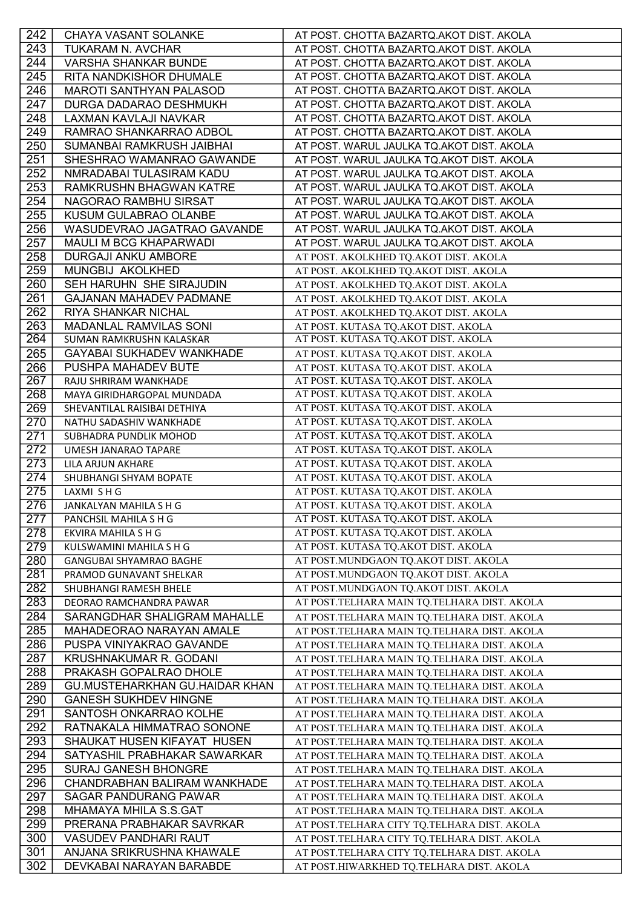| 242              | CHAYA VASANT SOLANKE                                      | AT POST. CHOTTA BAZARTQ.AKOT DIST. AKOLA                                                   |
|------------------|-----------------------------------------------------------|--------------------------------------------------------------------------------------------|
| 243              | TUKARAM N. AVCHAR                                         | AT POST. CHOTTA BAZARTQ.AKOT DIST. AKOLA                                                   |
| 244              | <b>VARSHA SHANKAR BUNDE</b>                               | AT POST. CHOTTA BAZARTQ.AKOT DIST. AKOLA                                                   |
| 245              | RITA NANDKISHOR DHUMALE                                   | AT POST. CHOTTA BAZARTQ.AKOT DIST. AKOLA                                                   |
| 246              | <b>MAROTI SANTHYAN PALASOD</b>                            | AT POST. CHOTTA BAZARTQ.AKOT DIST. AKOLA                                                   |
| 247              | DURGA DADARAO DESHMUKH                                    | AT POST. CHOTTA BAZARTQ.AKOT DIST. AKOLA                                                   |
| 248              | LAXMAN KAVLAJI NAVKAR                                     | AT POST. CHOTTA BAZARTQ.AKOT DIST. AKOLA                                                   |
| 249              | RAMRAO SHANKARRAO ADBOL                                   | AT POST. CHOTTA BAZARTQ.AKOT DIST. AKOLA                                                   |
| 250              | SUMANBAI RAMKRUSH JAIBHAI                                 | AT POST. WARUL JAULKA TQ.AKOT DIST. AKOLA                                                  |
| 251              | SHESHRAO WAMANRAO GAWANDE                                 | AT POST. WARUL JAULKA TQ.AKOT DIST. AKOLA                                                  |
| 252              | NMRADABAI TULASIRAM KADU                                  | AT POST. WARUL JAULKA TQ.AKOT DIST. AKOLA                                                  |
| 253              | RAMKRUSHN BHAGWAN KATRE                                   | AT POST. WARUL JAULKA TQ.AKOT DIST. AKOLA                                                  |
| 254              | NAGORAO RAMBHU SIRSAT                                     | AT POST. WARUL JAULKA TQ.AKOT DIST. AKOLA                                                  |
| 255              | KUSUM GULABRAO OLANBE                                     | AT POST. WARUL JAULKA TQ.AKOT DIST. AKOLA                                                  |
| 256              | WASUDEVRAO JAGATRAO GAVANDE                               | AT POST. WARUL JAULKA TQ.AKOT DIST. AKOLA                                                  |
| 257              | MAULI M BCG KHAPARWADI                                    | AT POST. WARUL JAULKA TQ.AKOT DIST. AKOLA                                                  |
| 258              | <b>DURGAJI ANKU AMBORE</b>                                | AT POST. AKOLKHED TQ.AKOT DIST. AKOLA                                                      |
| 259              | MUNGBIJ AKOLKHED                                          | AT POST. AKOLKHED TQ.AKOT DIST. AKOLA                                                      |
| 260              | SEH HARUHN SHE SIRAJUDIN                                  | AT POST. AKOLKHED TQ.AKOT DIST. AKOLA                                                      |
| 261              | <b>GAJANAN MAHADEV PADMANE</b>                            | AT POST. AKOLKHED TQ.AKOT DIST. AKOLA                                                      |
| 262              | RIYA SHANKAR NICHAL                                       | AT POST. AKOLKHED TQ.AKOT DIST. AKOLA                                                      |
| 263              | MADANLAL RAMVILAS SONI                                    | AT POST. KUTASA TQ.AKOT DIST. AKOLA                                                        |
| 264              | SUMAN RAMKRUSHN KALASKAR                                  | AT POST. KUTASA TQ.AKOT DIST. AKOLA                                                        |
| 265              | GAYABAI SUKHADEV WANKHADE                                 | AT POST. KUTASA TQ.AKOT DIST. AKOLA                                                        |
| 266              | PUSHPA MAHADEV BUTE                                       | AT POST. KUTASA TQ.AKOT DIST. AKOLA                                                        |
| 267              | RAJU SHRIRAM WANKHADE                                     | AT POST. KUTASA TQ.AKOT DIST. AKOLA                                                        |
| 268              | MAYA GIRIDHARGOPAL MUNDADA                                | AT POST. KUTASA TQ.AKOT DIST. AKOLA                                                        |
| 269              | SHEVANTILAL RAISIBAI DETHIYA                              | AT POST. KUTASA TQ.AKOT DIST. AKOLA                                                        |
| 270              | NATHU SADASHIV WANKHADE                                   | AT POST. KUTASA TQ.AKOT DIST. AKOLA                                                        |
| 271<br>272       | SUBHADRA PUNDLIK MOHOD                                    | AT POST. KUTASA TQ.AKOT DIST. AKOLA<br>AT POST. KUTASA TQ.AKOT DIST. AKOLA                 |
| $\overline{273}$ | UMESH JANARAO TAPARE<br>LILA ARJUN AKHARE                 | AT POST. KUTASA TQ.AKOT DIST. AKOLA                                                        |
| 274              | SHUBHANGI SHYAM BOPATE                                    | AT POST. KUTASA TQ.AKOT DIST. AKOLA                                                        |
| 275              | LAXMI SHG                                                 | AT POST. KUTASA TQ.AKOT DIST. AKOLA                                                        |
| 276              | JANKALYAN MAHILA S H G                                    | AT POST. KUTASA TQ.AKOT DIST. AKOLA                                                        |
| 277              | PANCHSIL MAHILA S H G                                     | AT POST. KUTASA TQ.AKOT DIST. AKOLA                                                        |
| 278              | EKVIRA MAHILA S H G                                       | AT POST. KUTASA TQ.AKOT DIST. AKOLA                                                        |
| 279              | KULSWAMINI MAHILA S H G                                   | AT POST. KUTASA TQ.AKOT DIST. AKOLA                                                        |
| 280              | <b>GANGUBAI SHYAMRAO BAGHE</b>                            | AT POST.MUNDGAON TQ.AKOT DIST. AKOLA                                                       |
| 281              | PRAMOD GUNAVANT SHELKAR                                   | AT POST.MUNDGAON TQ.AKOT DIST. AKOLA                                                       |
| 282              | SHUBHANGI RAMESH BHELE                                    | AT POST.MUNDGAON TQ.AKOT DIST. AKOLA                                                       |
| 283              | DEORAO RAMCHANDRA PAWAR                                   | AT POST.TELHARA MAIN TQ.TELHARA DIST. AKOLA                                                |
| 284              | SARANGDHAR SHALIGRAM MAHALLE                              | AT POST.TELHARA MAIN TQ.TELHARA DIST. AKOLA                                                |
| 285              | MAHADEORAO NARAYAN AMALE                                  | AT POST.TELHARA MAIN TQ.TELHARA DIST. AKOLA                                                |
| 286              | PUSPA VINIYAKRAO GAVANDE                                  | AT POST.TELHARA MAIN TQ.TELHARA DIST. AKOLA                                                |
| 287              | KRUSHNAKUMAR R. GODANI                                    | AT POST.TELHARA MAIN TQ.TELHARA DIST. AKOLA                                                |
| 288              | PRAKASH GOPALRAO DHOLE                                    | AT POST.TELHARA MAIN TQ.TELHARA DIST. AKOLA                                                |
| 289              | GU.MUSTEHARKHAN GU.HAIDAR KHAN                            | AT POST.TELHARA MAIN TQ.TELHARA DIST. AKOLA                                                |
| 290              | <b>GANESH SUKHDEV HINGNE</b>                              | AT POST.TELHARA MAIN TQ.TELHARA DIST. AKOLA                                                |
| 291              | SANTOSH ONKARRAO KOLHE                                    | AT POST.TELHARA MAIN TQ.TELHARA DIST. AKOLA                                                |
| 292              | RATNAKALA HIMMATRAO SONONE                                | AT POST.TELHARA MAIN TQ.TELHARA DIST. AKOLA                                                |
| 293              | SHAUKAT HUSEN KIFAYAT HUSEN                               | AT POST.TELHARA MAIN TQ.TELHARA DIST. AKOLA                                                |
| 294              | SATYASHIL PRABHAKAR SAWARKAR                              | AT POST.TELHARA MAIN TQ.TELHARA DIST. AKOLA                                                |
| 295              | <b>SURAJ GANESH BHONGRE</b>                               | AT POST.TELHARA MAIN TQ.TELHARA DIST. AKOLA                                                |
| 296              | CHANDRABHAN BALIRAM WANKHADE                              | AT POST.TELHARA MAIN TQ.TELHARA DIST. AKOLA                                                |
| 297              | SAGAR PANDURANG PAWAR                                     | AT POST.TELHARA MAIN TQ.TELHARA DIST. AKOLA                                                |
| 298              | MHAMAYA MHILA S.S.GAT<br>PRERANA PRABHAKAR SAVRKAR        | AT POST.TELHARA MAIN TQ.TELHARA DIST. AKOLA                                                |
| 299<br>300       |                                                           | AT POST.TELHARA CITY TQ.TELHARA DIST. AKOLA                                                |
| 301              | <b>VASUDEV PANDHARI RAUT</b><br>ANJANA SRIKRUSHNA KHAWALE | AT POST.TELHARA CITY TQ.TELHARA DIST. AKOLA<br>AT POST.TELHARA CITY TQ.TELHARA DIST. AKOLA |
| 302              | DEVKABAI NARAYAN BARABDE                                  | AT POST.HIWARKHED TQ.TELHARA DIST. AKOLA                                                   |
|                  |                                                           |                                                                                            |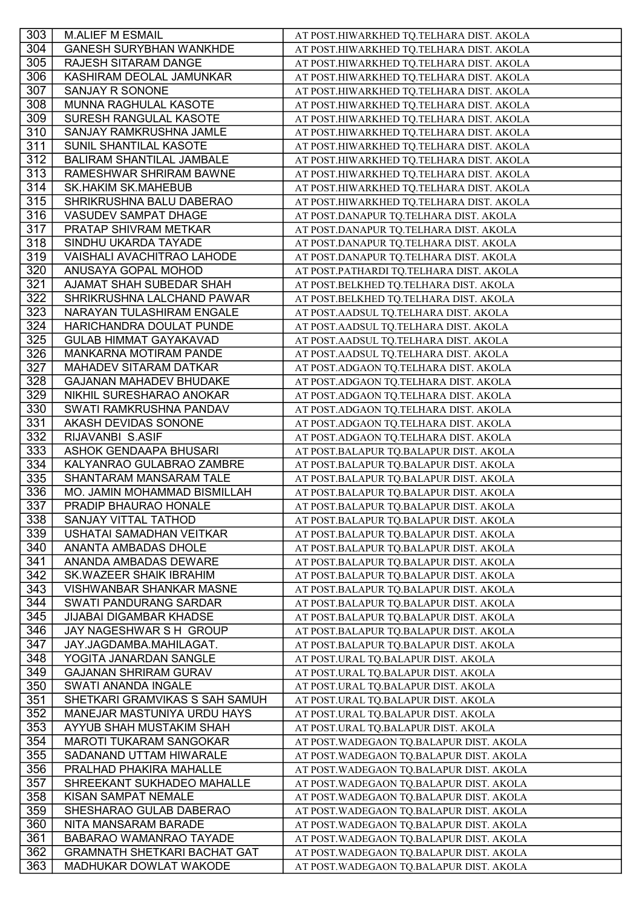| 303 | <b>M.ALIEF M ESMAIL</b>             | AT POST.HIWARKHED TQ.TELHARA DIST. AKOLA  |
|-----|-------------------------------------|-------------------------------------------|
| 304 | <b>GANESH SURYBHAN WANKHDE</b>      | AT POST.HIWARKHED TQ.TELHARA DIST. AKOLA  |
| 305 | RAJESH SITARAM DANGE                | AT POST.HIWARKHED TQ.TELHARA DIST. AKOLA  |
| 306 | KASHIRAM DEOLAL JAMUNKAR            | AT POST.HIWARKHED TQ.TELHARA DIST. AKOLA  |
| 307 | SANJAY R SONONE                     | AT POST.HIWARKHED TQ.TELHARA DIST. AKOLA  |
| 308 | MUNNA RAGHULAL KASOTE               | AT POST.HIWARKHED TQ.TELHARA DIST. AKOLA  |
| 309 | SURESH RANGULAL KASOTE              | AT POST.HIWARKHED TQ.TELHARA DIST. AKOLA  |
| 310 | SANJAY RAMKRUSHNA JAMLE             | AT POST.HIWARKHED TQ.TELHARA DIST. AKOLA  |
| 311 | SUNIL SHANTILAL KASOTE              | AT POST.HIWARKHED TQ.TELHARA DIST. AKOLA  |
| 312 | <b>BALIRAM SHANTILAL JAMBALE</b>    | AT POST.HIWARKHED TQ.TELHARA DIST. AKOLA  |
| 313 | RAMESHWAR SHRIRAM BAWNE             | AT POST.HIWARKHED TQ.TELHARA DIST. AKOLA  |
| 314 | <b>SK.HAKIM SK.MAHEBUB</b>          | AT POST.HIWARKHED TQ.TELHARA DIST. AKOLA  |
| 315 | SHRIKRUSHNA BALU DABERAO            | AT POST.HIWARKHED TQ.TELHARA DIST. AKOLA  |
| 316 | <b>VASUDEV SAMPAT DHAGE</b>         | AT POST.DANAPUR TQ.TELHARA DIST. AKOLA    |
| 317 | PRATAP SHIVRAM METKAR               | AT POST.DANAPUR TQ.TELHARA DIST. AKOLA    |
| 318 | SINDHU UKARDA TAYADE                | AT POST.DANAPUR TQ.TELHARA DIST. AKOLA    |
| 319 | <b>VAISHALI AVACHITRAO LAHODE</b>   | AT POST.DANAPUR TQ.TELHARA DIST. AKOLA    |
| 320 | ANUSAYA GOPAL MOHOD                 | AT POST.PATHARDI TQ.TELHARA DIST. AKOLA   |
| 321 | AJAMAT SHAH SUBEDAR SHAH            | AT POST.BELKHED TQ.TELHARA DIST. AKOLA    |
| 322 | SHRIKRUSHNA LALCHAND PAWAR          | AT POST.BELKHED TQ.TELHARA DIST. AKOLA    |
| 323 | NARAYAN TULASHIRAM ENGALE           | AT POST.AADSUL TQ.TELHARA DIST. AKOLA     |
| 324 | HARICHANDRA DOULAT PUNDE            | AT POST.AADSUL TQ.TELHARA DIST. AKOLA     |
| 325 | <b>GULAB HIMMAT GAYAKAVAD</b>       | AT POST.AADSUL TQ.TELHARA DIST. AKOLA     |
| 326 | MANKARNA MOTIRAM PANDE              | AT POST.AADSUL TQ.TELHARA DIST. AKOLA     |
| 327 | MAHADEV SITARAM DATKAR              | AT POST.ADGAON TQ.TELHARA DIST. AKOLA     |
| 328 | <b>GAJANAN MAHADEV BHUDAKE</b>      | AT POST.ADGAON TQ.TELHARA DIST. AKOLA     |
| 329 | NIKHIL SURESHARAO ANOKAR            | AT POST.ADGAON TQ.TELHARA DIST. AKOLA     |
| 330 | SWATI RAMKRUSHNA PANDAV             | AT POST.ADGAON TQ.TELHARA DIST. AKOLA     |
| 331 | AKASH DEVIDAS SONONE                | AT POST.ADGAON TQ.TELHARA DIST. AKOLA     |
| 332 | RIJAVANBI S.ASIF                    | AT POST.ADGAON TQ.TELHARA DIST. AKOLA     |
| 333 | ASHOK GENDAAPA BHUSARI              | AT POST.BALAPUR TQ.BALAPUR DIST. AKOLA    |
| 334 | KALYANRAO GULABRAO ZAMBRE           | AT POST.BALAPUR TQ.BALAPUR DIST. AKOLA    |
| 335 | SHANTARAM MANSARAM TALE             | AT POST.BALAPUR TQ.BALAPUR DIST. AKOLA    |
| 336 | MO. JAMIN MOHAMMAD BISMILLAH        | AT POST.BALAPUR TQ.BALAPUR DIST. AKOLA    |
| 337 | PRADIP BHAURAO HONALE               | AT POST.BALAPUR TQ.BALAPUR DIST. AKOLA    |
| 338 | SANJAY VITTAL TATHOD                | AT POST.BALAPUR TQ.BALAPUR DIST. AKOLA    |
| 339 | USHATAI SAMADHAN VEITKAR            | AT POST.BALAPUR TQ.BALAPUR DIST. AKOLA    |
| 340 | ANANTA AMBADAS DHOLE                | AT POST.BALAPUR TQ.BALAPUR DIST. AKOLA    |
| 341 | ANANDA AMBADAS DEWARE               | AT POST.BALAPUR TQ.BALAPUR DIST. AKOLA    |
| 342 | SK.WAZEER SHAIK IBRAHIM             | AT POST.BALAPUR TQ.BALAPUR DIST. AKOLA    |
| 343 | <b>VISHWANBAR SHANKAR MASNE</b>     | AT POST.BALAPUR TQ.BALAPUR DIST. AKOLA    |
| 344 | SWATI PANDURANG SARDAR              | AT POST.BALAPUR TQ.BALAPUR DIST. AKOLA    |
| 345 | JIJABAI DIGAMBAR KHADSE             | AT POST.BALAPUR TQ.BALAPUR DIST. AKOLA    |
| 346 | JAY NAGESHWAR S H GROUP             | AT POST.BALAPUR TQ.BALAPUR DIST. AKOLA    |
| 347 | JAY.JAGDAMBA.MAHILAGAT.             | AT POST.BALAPUR TQ.BALAPUR DIST. AKOLA    |
| 348 | YOGITA JANARDAN SANGLE              | AT POST.URAL TQ.BALAPUR DIST. AKOLA       |
| 349 | <b>GAJANAN SHRIRAM GURAV</b>        | AT POST.URAL TQ.BALAPUR DIST. AKOLA       |
| 350 | SWATI ANANDA INGALE                 | AT POST.URAL TQ.BALAPUR DIST. AKOLA       |
| 351 | SHETKARI GRAMVIKAS S SAH SAMUH      | AT POST.URAL TQ.BALAPUR DIST. AKOLA       |
| 352 | MANEJAR MASTUNIYA URDU HAYS         | AT POST.URAL TQ.BALAPUR DIST. AKOLA       |
| 353 | AYYUB SHAH MUSTAKIM SHAH            | AT POST.URAL TQ.BALAPUR DIST. AKOLA       |
| 354 | <b>MAROTI TUKARAM SANGOKAR</b>      | AT POST. WADEGAON TQ. BALAPUR DIST. AKOLA |
| 355 | SADANAND UTTAM HIWARALE             | AT POST. WADEGAON TQ. BALAPUR DIST. AKOLA |
| 356 | PRALHAD PHAKIRA MAHALLE             | AT POST.WADEGAON TQ.BALAPUR DIST. AKOLA   |
| 357 | SHREEKANT SUKHADEO MAHALLE          | AT POST. WADEGAON TQ. BALAPUR DIST. AKOLA |
| 358 | KISAN SAMPAT NEMALE                 | AT POST. WADEGAON TQ. BALAPUR DIST. AKOLA |
| 359 | SHESHARAO GULAB DABERAO             | AT POST. WADEGAON TQ. BALAPUR DIST. AKOLA |
| 360 | NITA MANSARAM BARADE                | AT POST.WADEGAON TQ.BALAPUR DIST. AKOLA   |
| 361 | BABARAO WAMANRAO TAYADE             | AT POST. WADEGAON TQ. BALAPUR DIST. AKOLA |
| 362 | <b>GRAMNATH SHETKARI BACHAT GAT</b> | AT POST. WADEGAON TQ. BALAPUR DIST. AKOLA |
| 363 | MADHUKAR DOWLAT WAKODE              | AT POST. WADEGAON TQ. BALAPUR DIST. AKOLA |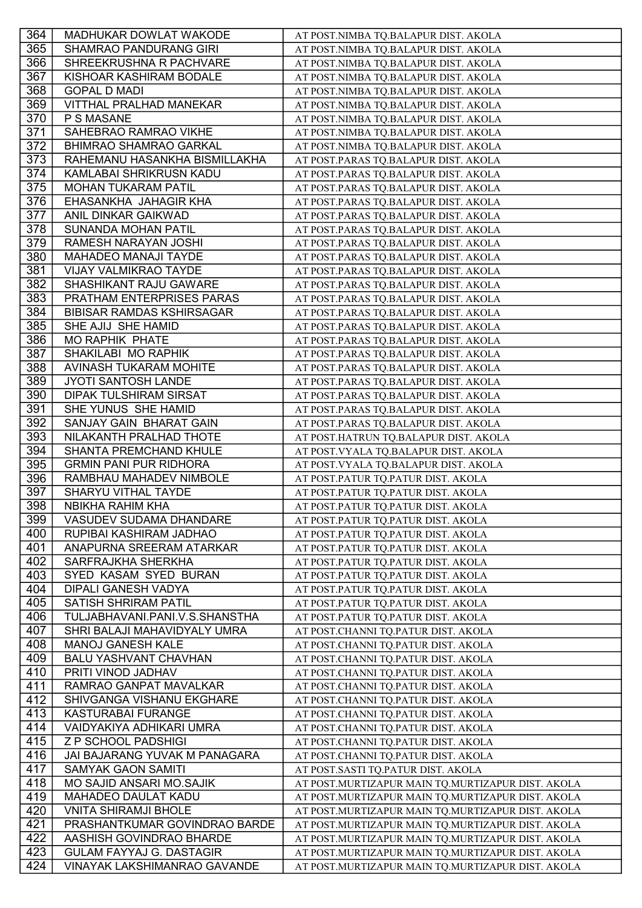| 364        | MADHUKAR DOWLAT WAKODE                               | AT POST.NIMBA TQ.BALAPUR DIST. AKOLA                                         |
|------------|------------------------------------------------------|------------------------------------------------------------------------------|
| 365        | <b>SHAMRAO PANDURANG GIRI</b>                        | AT POST.NIMBA TQ.BALAPUR DIST. AKOLA                                         |
| 366        | SHREEKRUSHNA R PACHVARE                              | AT POST.NIMBA TQ.BALAPUR DIST. AKOLA                                         |
| 367        | KISHOAR KASHIRAM BODALE                              | AT POST.NIMBA TQ.BALAPUR DIST. AKOLA                                         |
| 368        | <b>GOPAL D MADI</b>                                  | AT POST.NIMBA TQ.BALAPUR DIST. AKOLA                                         |
| 369        | VITTHAL PRALHAD MANEKAR                              | AT POST.NIMBA TQ.BALAPUR DIST. AKOLA                                         |
| 370        | P S MASANE                                           | AT POST.NIMBA TQ.BALAPUR DIST. AKOLA                                         |
| 371        | SAHEBRAO RAMRAO VIKHE                                | AT POST.NIMBA TQ.BALAPUR DIST. AKOLA                                         |
| 372        | <b>BHIMRAO SHAMRAO GARKAL</b>                        | AT POST.NIMBA TQ.BALAPUR DIST. AKOLA                                         |
| 373        | RAHEMANU HASANKHA BISMILLAKHA                        | AT POST.PARAS TQ.BALAPUR DIST. AKOLA                                         |
| 374        | KAMLABAI SHRIKRUSN KADU                              | AT POST.PARAS TQ.BALAPUR DIST. AKOLA                                         |
| 375        | MOHAN TUKARAM PATIL                                  | AT POST.PARAS TQ.BALAPUR DIST. AKOLA                                         |
| 376        | EHASANKHA JAHAGIR KHA                                | AT POST.PARAS TQ.BALAPUR DIST. AKOLA                                         |
| 377        | ANIL DINKAR GAIKWAD                                  | AT POST.PARAS TQ.BALAPUR DIST. AKOLA                                         |
| 378        | SUNANDA MOHAN PATIL                                  | AT POST.PARAS TQ.BALAPUR DIST. AKOLA                                         |
| 379        | RAMESH NARAYAN JOSHI                                 | AT POST.PARAS TQ.BALAPUR DIST. AKOLA                                         |
| 380        | <b>MAHADEO MANAJI TAYDE</b>                          | AT POST.PARAS TQ.BALAPUR DIST. AKOLA                                         |
| 381        | VIJAY VALMIKRAO TAYDE                                | AT POST.PARAS TQ.BALAPUR DIST. AKOLA                                         |
| 382        | SHASHIKANT RAJU GAWARE                               | AT POST.PARAS TQ.BALAPUR DIST. AKOLA                                         |
| 383        | PRATHAM ENTERPRISES PARAS                            | AT POST.PARAS TQ.BALAPUR DIST. AKOLA                                         |
| 384        | <b>BIBISAR RAMDAS KSHIRSAGAR</b>                     | AT POST.PARAS TQ.BALAPUR DIST. AKOLA                                         |
| 385        | SHE AJIJ SHE HAMID                                   |                                                                              |
| 386        | <b>MO RAPHIK PHATE</b>                               | AT POST.PARAS TQ.BALAPUR DIST. AKOLA<br>AT POST.PARAS TQ.BALAPUR DIST. AKOLA |
| 387        | SHAKILABI MO RAPHIK                                  |                                                                              |
| 388        | AVINASH TUKARAM MOHITE                               | AT POST.PARAS TQ.BALAPUR DIST. AKOLA                                         |
| 389        | JYOTI SANTOSH LANDE                                  | AT POST.PARAS TQ.BALAPUR DIST. AKOLA                                         |
| 390        |                                                      | AT POST.PARAS TQ.BALAPUR DIST. AKOLA                                         |
| 391        | <b>DIPAK TULSHIRAM SIRSAT</b><br>SHE YUNUS SHE HAMID | AT POST.PARAS TQ.BALAPUR DIST. AKOLA                                         |
| 392        |                                                      | AT POST.PARAS TQ.BALAPUR DIST. AKOLA                                         |
|            | SANJAY GAIN BHARAT GAIN                              | AT POST.PARAS TQ.BALAPUR DIST. AKOLA                                         |
| 393        | NILAKANTH PRALHAD THOTE                              | AT POST.HATRUN TQ.BALAPUR DIST. AKOLA                                        |
| 394<br>395 | SHANTA PREMCHAND KHULE                               | AT POST.VYALA TQ.BALAPUR DIST. AKOLA                                         |
|            | <b>GRMIN PANI PUR RIDHORA</b>                        | AT POST.VYALA TQ.BALAPUR DIST. AKOLA                                         |
| 396        | RAMBHAU MAHADEV NIMBOLE                              | AT POST.PATUR TQ.PATUR DIST. AKOLA                                           |
| 397        | SHARYU VITHAL TAYDE                                  | AT POST.PATUR TQ.PATUR DIST. AKOLA                                           |
| 398        | <b>NBIKHA RAHIM KHA</b>                              | AT POST.PATUR TQ.PATUR DIST. AKOLA                                           |
| 399        | <b>VASUDEV SUDAMA DHANDARE</b>                       | AT POST.PATUR TQ.PATUR DIST. AKOLA                                           |
| 400        | RUPIBAI KASHIRAM JADHAO                              | AT POST.PATUR TQ.PATUR DIST. AKOLA                                           |
| 401        | ANAPURNA SREERAM ATARKAR                             | AT POST.PATUR TQ.PATUR DIST. AKOLA                                           |
| 402        | SARFRAJKHA SHERKHA                                   | AT POST.PATUR TQ.PATUR DIST. AKOLA                                           |
| 403        | SYED KASAM SYED BURAN                                | AT POST.PATUR TQ.PATUR DIST. AKOLA                                           |
| 404        | DIPALI GANESH VADYA                                  | AT POST.PATUR TQ.PATUR DIST. AKOLA                                           |
| 405        | SATISH SHRIRAM PATIL                                 | AT POST.PATUR TQ.PATUR DIST. AKOLA                                           |
| 406        | TULJABHAVANI.PANI.V.S.SHANSTHA                       | AT POST.PATUR TQ.PATUR DIST. AKOLA                                           |
| 407        | SHRI BALAJI MAHAVIDYALY UMRA                         | AT POST.CHANNI TQ.PATUR DIST. AKOLA                                          |
| 408        | <b>MANOJ GANESH KALE</b>                             | AT POST.CHANNI TQ.PATUR DIST. AKOLA                                          |
| 409        | <b>BALU YASHVANT CHAVHAN</b>                         | AT POST.CHANNI TQ.PATUR DIST. AKOLA                                          |
| 410        | PRITI VINOD JADHAV                                   | AT POST.CHANNI TQ.PATUR DIST. AKOLA                                          |
| 411        | RAMRAO GANPAT MAVALKAR                               | AT POST.CHANNI TQ.PATUR DIST. AKOLA                                          |
| 412        | SHIVGANGA VISHANU EKGHARE                            | AT POST.CHANNI TQ.PATUR DIST. AKOLA                                          |
| 413        | <b>KASTURABAI FURANGE</b>                            | AT POST.CHANNI TQ.PATUR DIST. AKOLA                                          |
| 414        | VAIDYAKIYA ADHIKARI UMRA                             | AT POST.CHANNI TQ.PATUR DIST. AKOLA                                          |
| 415        | Z P SCHOOL PADSHIGI                                  | AT POST.CHANNI TQ.PATUR DIST. AKOLA                                          |
| 416        | JAI BAJARANG YUVAK M PANAGARA                        | AT POST.CHANNI TQ.PATUR DIST. AKOLA                                          |
| 417        | <b>SAMYAK GAON SAMITI</b>                            | AT POST.SASTI TQ.PATUR DIST. AKOLA                                           |
| 418        | MO SAJID ANSARI MO.SAJIK                             | AT POST.MURTIZAPUR MAIN TQ.MURTIZAPUR DIST. AKOLA                            |
| 419        | <b>MAHADEO DAULAT KADU</b>                           | AT POST.MURTIZAPUR MAIN TQ.MURTIZAPUR DIST. AKOLA                            |
| 420        | <b>VNITA SHIRAMJI BHOLE</b>                          | AT POST.MURTIZAPUR MAIN TQ.MURTIZAPUR DIST. AKOLA                            |
| 421        | PRASHANTKUMAR GOVINDRAO BARDE                        | AT POST.MURTIZAPUR MAIN TQ.MURTIZAPUR DIST. AKOLA                            |
| 422        | AASHISH GOVINDRAO BHARDE                             | AT POST.MURTIZAPUR MAIN TQ.MURTIZAPUR DIST. AKOLA                            |
| 423        | <b>GULAM FAYYAJ G. DASTAGIR</b>                      | AT POST.MURTIZAPUR MAIN TQ.MURTIZAPUR DIST. AKOLA                            |
| 424        | VINAYAK LAKSHIMANRAO GAVANDE                         | AT POST.MURTIZAPUR MAIN TQ.MURTIZAPUR DIST. AKOLA                            |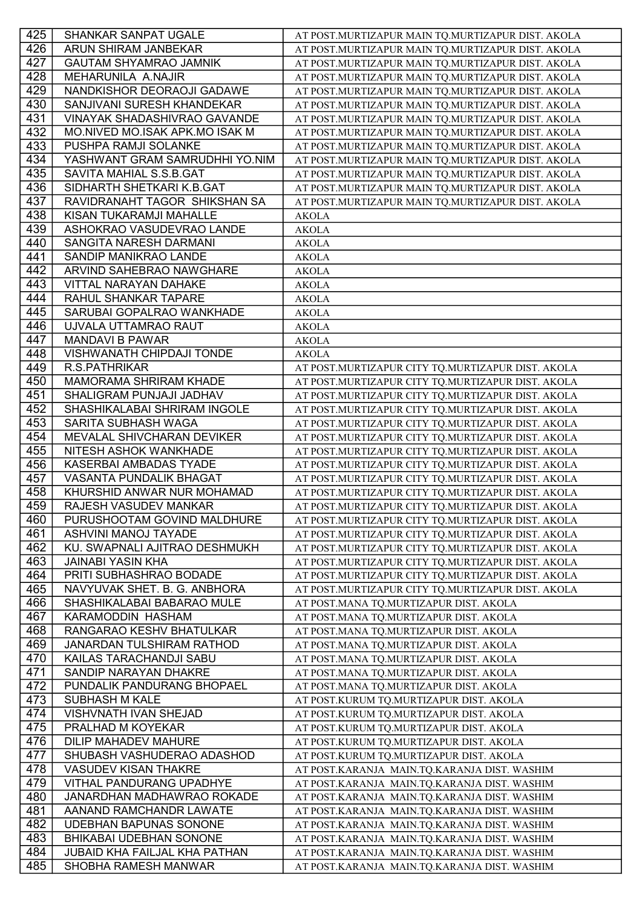| 425              | SHANKAR SANPAT UGALE                              | AT POST.MURTIZAPUR MAIN TQ.MURTIZAPUR DIST. AKOLA |
|------------------|---------------------------------------------------|---------------------------------------------------|
| 426              | ARUN SHIRAM JANBEKAR                              | AT POST.MURTIZAPUR MAIN TQ.MURTIZAPUR DIST. AKOLA |
| 427              | <b>GAUTAM SHYAMRAO JAMNIK</b>                     | AT POST.MURTIZAPUR MAIN TQ.MURTIZAPUR DIST. AKOLA |
| 428              | MEHARUNILA A.NAJIR                                | AT POST.MURTIZAPUR MAIN TQ.MURTIZAPUR DIST. AKOLA |
| 429              | NANDKISHOR DEORAOJI GADAWE                        | AT POST.MURTIZAPUR MAIN TQ.MURTIZAPUR DIST. AKOLA |
| 430              | SANJIVANI SURESH KHANDEKAR                        | AT POST.MURTIZAPUR MAIN TQ.MURTIZAPUR DIST. AKOLA |
| 431              | VINAYAK SHADASHIVRAO GAVANDE                      | AT POST.MURTIZAPUR MAIN TQ.MURTIZAPUR DIST. AKOLA |
| 432              | MO.NIVED MO.ISAK APK.MO ISAK M                    | AT POST.MURTIZAPUR MAIN TQ.MURTIZAPUR DIST. AKOLA |
| 433              | PUSHPA RAMJI SOLANKE                              | AT POST.MURTIZAPUR MAIN TQ.MURTIZAPUR DIST. AKOLA |
| $43\overline{4}$ | YASHWANT GRAM SAMRUDHHI YO.NIM                    | AT POST.MURTIZAPUR MAIN TQ.MURTIZAPUR DIST. AKOLA |
| 435              | SAVITA MAHIAL S.S.B.GAT                           | AT POST.MURTIZAPUR MAIN TQ.MURTIZAPUR DIST. AKOLA |
| 436              | SIDHARTH SHETKARI K.B.GAT                         | AT POST.MURTIZAPUR MAIN TQ.MURTIZAPUR DIST. AKOLA |
| 437              | RAVIDRANAHT TAGOR SHIKSHAN SA                     | AT POST.MURTIZAPUR MAIN TQ.MURTIZAPUR DIST. AKOLA |
| 438              | KISAN TUKARAMJI MAHALLE                           | <b>AKOLA</b>                                      |
| 439              | ASHOKRAO VASUDEVRAO LANDE                         | <b>AKOLA</b>                                      |
| 440              | SANGITA NARESH DARMANI                            | <b>AKOLA</b>                                      |
| 441              | SANDIP MANIKRAO LANDE                             | <b>AKOLA</b>                                      |
| 442              | ARVIND SAHEBRAO NAWGHARE                          | <b>AKOLA</b>                                      |
| 443              | VITTAL NARAYAN DAHAKE                             |                                                   |
| 444              | RAHUL SHANKAR TAPARE                              | <b>AKOLA</b>                                      |
|                  |                                                   | <b>AKOLA</b>                                      |
| 445              | SARUBAI GOPALRAO WANKHADE<br>UJVALA UTTAMRAO RAUT | <b>AKOLA</b>                                      |
| 446              |                                                   | <b>AKOLA</b>                                      |
| 447              | <b>MANDAVI B PAWAR</b>                            | <b>AKOLA</b>                                      |
| 448              | VISHWANATH CHIPDAJI TONDE                         | <b>AKOLA</b>                                      |
| 449              | R.S.PATHRIKAR                                     | AT POST.MURTIZAPUR CITY TQ.MURTIZAPUR DIST. AKOLA |
| 450              | MAMORAMA SHRIRAM KHADE                            | AT POST.MURTIZAPUR CITY TQ.MURTIZAPUR DIST. AKOLA |
| 451              | SHALIGRAM PUNJAJI JADHAV                          | AT POST.MURTIZAPUR CITY TQ.MURTIZAPUR DIST. AKOLA |
| 452              | SHASHIKALABAI SHRIRAM INGOLE                      | AT POST.MURTIZAPUR CITY TQ.MURTIZAPUR DIST. AKOLA |
| 453              | SARITA SUBHASH WAGA                               | AT POST.MURTIZAPUR CITY TQ.MURTIZAPUR DIST. AKOLA |
| 454              | MEVALAL SHIVCHARAN DEVIKER                        | AT POST.MURTIZAPUR CITY TQ.MURTIZAPUR DIST. AKOLA |
| 455              | NITESH ASHOK WANKHADE                             | AT POST.MURTIZAPUR CITY TQ.MURTIZAPUR DIST. AKOLA |
| 456              | KASERBAI AMBADAS TYADE                            | AT POST.MURTIZAPUR CITY TQ.MURTIZAPUR DIST. AKOLA |
| 457              | <b>VASANTA PUNDALIK BHAGAT</b>                    | AT POST.MURTIZAPUR CITY TQ.MURTIZAPUR DIST. AKOLA |
| 458              | KHURSHID ANWAR NUR MOHAMAD                        | AT POST.MURTIZAPUR CITY TQ.MURTIZAPUR DIST. AKOLA |
| 459              | RAJESH VASUDEV MANKAR                             | AT POST.MURTIZAPUR CITY TQ.MURTIZAPUR DIST. AKOLA |
| 460              | PURUSHOOTAM GOVIND MALDHURE                       | AT POST.MURTIZAPUR CITY TQ.MURTIZAPUR DIST. AKOLA |
| 461              | ASHVINI MANOJ TAYADE                              | AT POST.MURTIZAPUR CITY TQ.MURTIZAPUR DIST. AKOLA |
| 462              | KU. SWAPNALI AJITRAO DESHMUKH                     | AT POST.MURTIZAPUR CITY TQ.MURTIZAPUR DIST. AKOLA |
| 463              | <b>JAINABI YASIN KHA</b>                          | AT POST.MURTIZAPUR CITY TQ.MURTIZAPUR DIST. AKOLA |
| 464              | PRITI SUBHASHRAO BODADE                           | AT POST.MURTIZAPUR CITY TQ.MURTIZAPUR DIST. AKOLA |
| 465              | NAVYUVAK SHET. B. G. ANBHORA                      | AT POST.MURTIZAPUR CITY TQ.MURTIZAPUR DIST. AKOLA |
| 466              | SHASHIKALABAI BABARAO MULE                        | AT POST.MANA TQ.MURTIZAPUR DIST. AKOLA            |
| 467              | KARAMODDIN HASHAM                                 | AT POST.MANA TQ.MURTIZAPUR DIST. AKOLA            |
| 468              | RANGARAO KESHV BHATULKAR                          | AT POST.MANA TQ.MURTIZAPUR DIST. AKOLA            |
| 469              | JANARDAN TULSHIRAM RATHOD                         | AT POST.MANA TQ.MURTIZAPUR DIST. AKOLA            |
| 470              | KAILAS TARACHANDJI SABU                           | AT POST.MANA TQ.MURTIZAPUR DIST. AKOLA            |
| 471              | SANDIP NARAYAN DHAKRE                             | AT POST.MANA TQ.MURTIZAPUR DIST. AKOLA            |
| 472              | PUNDALIK PANDURANG BHOPAEL                        | AT POST.MANA TQ.MURTIZAPUR DIST. AKOLA            |
| 473              | <b>SUBHASH M KALE</b>                             | AT POST.KURUM TQ.MURTIZAPUR DIST. AKOLA           |
| 474              | <b>VISHVNATH IVAN SHEJAD</b>                      | AT POST.KURUM TQ.MURTIZAPUR DIST. AKOLA           |
| 475              | PRALHAD M KOYEKAR                                 | AT POST.KURUM TQ.MURTIZAPUR DIST. AKOLA           |
| 476              | DILIP MAHADEV MAHURE                              | AT POST.KURUM TQ.MURTIZAPUR DIST. AKOLA           |
| 477              | SHUBASH VASHUDERAO ADASHOD                        | AT POST.KURUM TQ.MURTIZAPUR DIST. AKOLA           |
| 478              | <b>VASUDEV KISAN THAKRE</b>                       | AT POST.KARANJA MAIN.TQ.KARANJA DIST. WASHIM      |
| 479              | <b>VITHAL PANDURANG UPADHYE</b>                   | AT POST.KARANJA MAIN.TQ.KARANJA DIST. WASHIM      |
| 480              | JANARDHAN MADHAWRAO ROKADE                        | AT POST.KARANJA MAIN.TQ.KARANJA DIST. WASHIM      |
| 481              | AANAND RAMCHANDR LAWATE                           | AT POST.KARANJA MAIN.TQ.KARANJA DIST. WASHIM      |
| 482              | <b>UDEBHAN BAPUNAS SONONE</b>                     | AT POST.KARANJA MAIN.TQ.KARANJA DIST. WASHIM      |
| 483              | <b>BHIKABAI UDEBHAN SONONE</b>                    | AT POST.KARANJA MAIN.TQ.KARANJA DIST. WASHIM      |
| 484              | <b>JUBAID KHA FAILJAL KHA PATHAN</b>              | AT POST.KARANJA MAIN.TQ.KARANJA DIST. WASHIM      |
| 485              | SHOBHA RAMESH MANWAR                              | AT POST.KARANJA MAIN.TQ.KARANJA DIST. WASHIM      |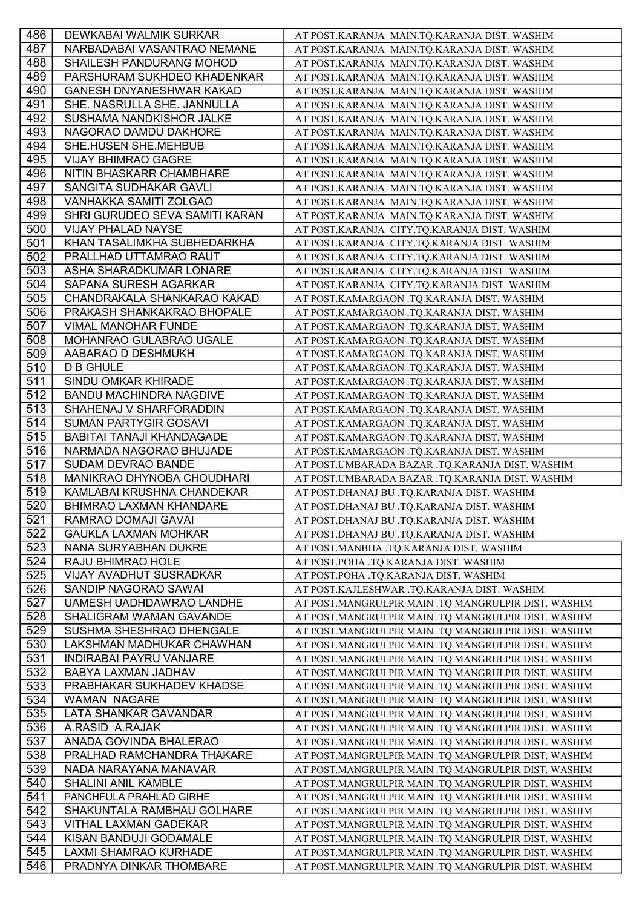| 486        | DEWKABAI WALMIK SURKAR                                     | AT POST.KARANJA MAIN.TQ.KARANJA DIST. WASHIM                                                               |
|------------|------------------------------------------------------------|------------------------------------------------------------------------------------------------------------|
| 487        | NARBADABAI VASANTRAO NEMANE                                | AT POST.KARANJA MAIN.TQ.KARANJA DIST. WASHIM                                                               |
| 488        | SHAILESH PANDURANG MOHOD                                   | AT POST.KARANJA MAIN.TQ.KARANJA DIST. WASHIM                                                               |
| 489        | PARSHURAM SUKHDEO KHADENKAR                                | AT POST.KARANJA MAIN.TQ.KARANJA DIST. WASHIM                                                               |
| 490        | <b>GANESH DNYANESHWAR KAKAD</b>                            | AT POST.KARANJA MAIN.TQ.KARANJA DIST. WASHIM                                                               |
| 491        | SHE. NASRULLA SHE. JANNULLA                                | AT POST.KARANJA MAIN.TQ.KARANJA DIST. WASHIM                                                               |
| 492        | SUSHAMA NANDKISHOR JALKE                                   | AT POST.KARANJA MAIN.TQ.KARANJA DIST. WASHIM                                                               |
| 493        | NAGORAO DAMDU DAKHORE                                      | AT POST.KARANJA MAIN.TQ.KARANJA DIST. WASHIM                                                               |
| 494        | SHE.HUSEN SHE.MEHBUB                                       | AT POST.KARANJA MAIN.TQ.KARANJA DIST. WASHIM                                                               |
| 495        | <b>VIJAY BHIMRAO GAGRE</b>                                 | AT POST.KARANJA MAIN.TQ.KARANJA DIST. WASHIM                                                               |
| 496        | NITIN BHASKARR CHAMBHARE                                   | AT POST.KARANJA MAIN.TQ.KARANJA DIST. WASHIM                                                               |
| 497        | SANGITA SUDHAKAR GAVLI                                     | AT POST.KARANJA MAIN.TQ.KARANJA DIST. WASHIM                                                               |
| 498        | VANHAKKA SAMITI ZOLGAO                                     | AT POST.KARANJA MAIN.TQ.KARANJA DIST. WASHIM                                                               |
| 499        | SHRI GURUDEO SEVA SAMITI KARAN                             | AT POST.KARANJA MAIN.TQ.KARANJA DIST. WASHIM                                                               |
| 500        | VIJAY PHALAD NAYSE                                         | AT POST.KARANJA CITY.TQ.KARANJA DIST. WASHIM                                                               |
| 501        | KHAN TASALIMKHA SUBHEDARKHA                                | AT POST.KARANJA CITY.TQ.KARANJA DIST. WASHIM                                                               |
| 502        | PRALLHAD UTTAMRAO RAUT                                     | AT POST.KARANJA CITY.TQ.KARANJA DIST. WASHIM                                                               |
| 503        | ASHA SHARADKUMAR LONARE                                    | AT POST.KARANJA CITY.TQ.KARANJA DIST. WASHIM                                                               |
| 504        | SAPANA SURESH AGARKAR                                      | AT POST.KARANJA CITY.TQ.KARANJA DIST. WASHIM                                                               |
| 505        | CHANDRAKALA SHANKARAO KAKAD                                | AT POST.KAMARGAON .TQ.KARANJA DIST. WASHIM                                                                 |
| 506        | PRAKASH SHANKAKRAO BHOPALE                                 | AT POST.KAMARGAON .TQ.KARANJA DIST. WASHIM                                                                 |
| 507        | VIMAL MANOHAR FUNDE                                        | AT POST.KAMARGAON .TQ.KARANJA DIST. WASHIM                                                                 |
| 508        | MOHANRAO GULABRAO UGALE                                    | AT POST.KAMARGAON .TQ.KARANJA DIST. WASHIM                                                                 |
| 509        | AABARAO D DESHMUKH                                         | AT POST.KAMARGAON .TQ.KARANJA DIST. WASHIM                                                                 |
| 510        | <b>D B GHULE</b>                                           | AT POST.KAMARGAON .TQ.KARANJA DIST. WASHIM                                                                 |
| 511        | SINDU OMKAR KHIRADE                                        | AT POST.KAMARGAON .TQ.KARANJA DIST. WASHIM                                                                 |
| 512        | BANDU MACHINDRA NAGDIVE                                    | AT POST.KAMARGAON .TQ.KARANJA DIST. WASHIM                                                                 |
| 513        | SHAHENAJ V SHARFORADDIN                                    | AT POST.KAMARGAON .TQ.KARANJA DIST. WASHIM                                                                 |
| 514        | <b>SUMAN PARTYGIR GOSAVI</b>                               | AT POST.KAMARGAON .TQ.KARANJA DIST. WASHIM                                                                 |
| 515        | <b>BABITAI TANAJI KHANDAGADE</b>                           | AT POST.KAMARGAON .TQ.KARANJA DIST. WASHIM                                                                 |
| 516        | NARMADA NAGORAO BHUJADE                                    | AT POST.KAMARGAON .TQ.KARANJA DIST. WASHIM                                                                 |
| 517        | SUDAM DEVRAO BANDE                                         | AT POST.UMBARADA BAZAR .TQ.KARANJA DIST. WASHIM                                                            |
| 518        | MANIKRAO DHYNOBA CHOUDHARI                                 | AT POST.UMBARADA BAZAR .TQ.KARANJA DIST. WASHIM                                                            |
| 519        | KAMLABAI KRUSHNA CHANDEKAR                                 | AT POST.DHANAJ BU .TQ.KARANJA DIST. WASHIM                                                                 |
| 520        | <b>BHIMRAO LAXMAN KHANDARE</b>                             | AT POST.DHANAJ BU .TQ.KARANJA DIST. WASHIM                                                                 |
| 521        | RAMRAO DOMAJI GAVAI                                        | AT POST.DHANAJ BU .TQ.KARANJA DIST. WASHIM                                                                 |
| 522        | <b>GAUKLA LAXMAN MOHKAR</b>                                | AT POST.DHANAJ BU .TQ.KARANJA DIST. WASHIM                                                                 |
| 523        | NANA SURYABHAN DUKRE                                       | AT POST.MANBHA .TQ.KARANJA DIST. WASHIM                                                                    |
| 524        | RAJU BHIMRAO HOLE                                          | AT POST.POHA .TQ.KARANJA DIST. WASHIM                                                                      |
| 525        | <b>VIJAY AVADHUT SUSRADKAR</b>                             | AT POST.POHA .TQ.KARANJA DIST. WASHIM                                                                      |
| 526        | SANDIP NAGORAO SAWAI                                       | AT POST.KAJLESHWAR .TQ.KARANJA DIST. WASHIM                                                                |
| 527        | UAMESH UADHDAWRAO LANDHE                                   | AT POST.MANGRULPIR MAIN .TQ MANGRULPIR DIST. WASHIM                                                        |
| 528        | SHALIGRAM WAMAN GAVANDE                                    | AT POST.MANGRULPIR MAIN .TQ MANGRULPIR DIST. WASHIM                                                        |
| 529        | SUSHMA SHESHRAO DHENGALE                                   | AT POST.MANGRULPIR MAIN .TQ MANGRULPIR DIST. WASHIM                                                        |
| 530        | LAKSHMAN MADHUKAR CHAWHAN                                  | AT POST.MANGRULPIR MAIN .TQ MANGRULPIR DIST. WASHIM                                                        |
| 531        | <b>INDIRABAI PAYRU VANJARE</b>                             | AT POST.MANGRULPIR MAIN .TQ MANGRULPIR DIST. WASHIM                                                        |
| 532        | BABYA LAXMAN JADHAV                                        | AT POST.MANGRULPIR MAIN .TQ MANGRULPIR DIST. WASHIM                                                        |
| 533        | PRABHAKAR SUKHADEV KHADSE                                  | AT POST.MANGRULPIR MAIN .TQ MANGRULPIR DIST. WASHIM                                                        |
| 534        | <b>WAMAN NAGARE</b>                                        | AT POST.MANGRULPIR MAIN .TQ MANGRULPIR DIST. WASHIM                                                        |
| 535        | LATA SHANKAR GAVANDAR                                      | AT POST.MANGRULPIR MAIN .TQ MANGRULPIR DIST. WASHIM                                                        |
| 536        | A.RASID A.RAJAK                                            | AT POST.MANGRULPIR MAIN .TQ MANGRULPIR DIST. WASHIM                                                        |
| 537        | ANADA GOVINDA BHALERAO                                     | AT POST.MANGRULPIR MAIN .TQ MANGRULPIR DIST. WASHIM                                                        |
| 538        | PRALHAD RAMCHANDRA THAKARE                                 | AT POST.MANGRULPIR MAIN .TQ MANGRULPIR DIST. WASHIM                                                        |
| 539        | NADA NARAYANA MANAVAR                                      | AT POST.MANGRULPIR MAIN .TQ MANGRULPIR DIST. WASHIM                                                        |
| 540        | <b>SHALINI ANIL KAMBLE</b>                                 | AT POST.MANGRULPIR MAIN .TQ MANGRULPIR DIST. WASHIM                                                        |
| 541        | PANCHFULA PRAHLAD GIRHE                                    | AT POST.MANGRULPIR MAIN .TQ MANGRULPIR DIST. WASHIM                                                        |
| 542        |                                                            |                                                                                                            |
|            |                                                            |                                                                                                            |
|            | SHAKUNTALA RAMBHAU GOLHARE<br><b>VITHAL LAXMAN GADEKAR</b> | AT POST.MANGRULPIR MAIN .TQ MANGRULPIR DIST. WASHIM                                                        |
| 543<br>544 |                                                            | AT POST.MANGRULPIR MAIN .TQ MANGRULPIR DIST. WASHIM                                                        |
| 545        | KISAN BANDUJI GODAMALE<br>LAXMI SHAMRAO KURHADE            | AT POST.MANGRULPIR MAIN .TQ MANGRULPIR DIST. WASHIM<br>AT POST.MANGRULPIR MAIN .TQ MANGRULPIR DIST. WASHIM |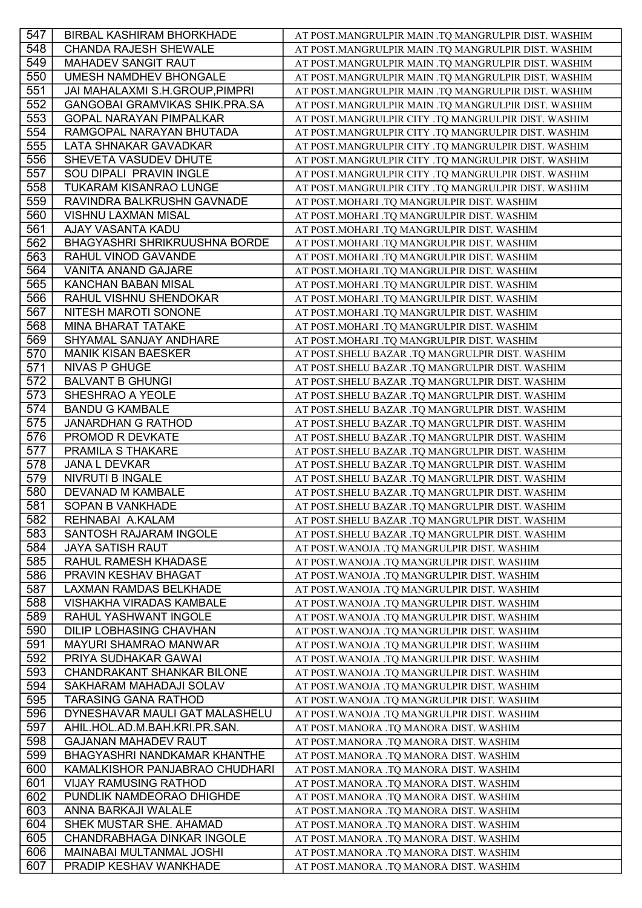| 547 | <b>BIRBAL KASHIRAM BHORKHADE</b>     | AT POST.MANGRULPIR MAIN .TQ MANGRULPIR DIST. WASHIM |
|-----|--------------------------------------|-----------------------------------------------------|
| 548 | <b>CHANDA RAJESH SHEWALE</b>         | AT POST.MANGRULPIR MAIN .TQ MANGRULPIR DIST. WASHIM |
| 549 | <b>MAHADEV SANGIT RAUT</b>           | AT POST.MANGRULPIR MAIN .TQ MANGRULPIR DIST. WASHIM |
| 550 | UMESH NAMDHEV BHONGALE               | AT POST.MANGRULPIR MAIN .TQ MANGRULPIR DIST. WASHIM |
| 551 | JAI MAHALAXMI S.H.GROUP, PIMPRI      | AT POST.MANGRULPIR MAIN .TQ MANGRULPIR DIST. WASHIM |
| 552 | GANGOBAI GRAMVIKAS SHIK.PRA.SA       | AT POST.MANGRULPIR MAIN .TQ MANGRULPIR DIST. WASHIM |
| 553 | <b>GOPAL NARAYAN PIMPALKAR</b>       | AT POST.MANGRULPIR CITY .TQ MANGRULPIR DIST. WASHIM |
| 554 | RAMGOPAL NARAYAN BHUTADA             | AT POST.MANGRULPIR CITY .TQ MANGRULPIR DIST. WASHIM |
| 555 | LATA SHNAKAR GAVADKAR                | AT POST.MANGRULPIR CITY .TQ MANGRULPIR DIST. WASHIM |
| 556 | SHEVETA VASUDEV DHUTE                | AT POST.MANGRULPIR CITY .TQ MANGRULPIR DIST. WASHIM |
| 557 | SOU DIPALI PRAVIN INGLE              | AT POST.MANGRULPIR CITY .TQ MANGRULPIR DIST. WASHIM |
| 558 | TUKARAM KISANRAO LUNGE               | AT POST.MANGRULPIR CITY .TQ MANGRULPIR DIST. WASHIM |
| 559 | RAVINDRA BALKRUSHN GAVNADE           | AT POST.MOHARI .TQ MANGRULPIR DIST. WASHIM          |
| 560 | VISHNU LAXMAN MISAL                  | AT POST.MOHARI .TQ MANGRULPIR DIST. WASHIM          |
| 561 | AJAY VASANTA KADU                    | AT POST.MOHARI .TQ MANGRULPIR DIST. WASHIM          |
| 562 | <b>BHAGYASHRI SHRIKRUUSHNA BORDE</b> | AT POST.MOHARI .TQ MANGRULPIR DIST. WASHIM          |
| 563 | RAHUL VINOD GAVANDE                  | AT POST.MOHARI .TQ MANGRULPIR DIST. WASHIM          |
| 564 | <b>VANITA ANAND GAJARE</b>           | AT POST.MOHARI .TQ MANGRULPIR DIST. WASHIM          |
| 565 | <b>KANCHAN BABAN MISAL</b>           | AT POST.MOHARI .TQ MANGRULPIR DIST. WASHIM          |
| 566 | RAHUL VISHNU SHENDOKAR               | AT POST.MOHARI .TQ MANGRULPIR DIST. WASHIM          |
| 567 | NITESH MAROTI SONONE                 | AT POST.MOHARI .TQ MANGRULPIR DIST. WASHIM          |
| 568 | MINA BHARAT TATAKE                   | AT POST.MOHARI .TQ MANGRULPIR DIST. WASHIM          |
| 569 | SHYAMAL SANJAY ANDHARE               | AT POST.MOHARI .TQ MANGRULPIR DIST. WASHIM          |
| 570 | <b>MANIK KISAN BAESKER</b>           | AT POST.SHELU BAZAR .TQ MANGRULPIR DIST. WASHIM     |
| 571 | <b>NIVAS P GHUGE</b>                 | AT POST.SHELU BAZAR .TQ MANGRULPIR DIST. WASHIM     |
| 572 | <b>BALVANT B GHUNGI</b>              | AT POST.SHELU BAZAR .TQ MANGRULPIR DIST. WASHIM     |
| 573 | SHESHRAO A YEOLE                     | AT POST.SHELU BAZAR .TQ MANGRULPIR DIST. WASHIM     |
| 574 | <b>BANDU G KAMBALE</b>               | AT POST.SHELU BAZAR .TQ MANGRULPIR DIST. WASHIM     |
| 575 | <b>JANARDHAN G RATHOD</b>            | AT POST.SHELU BAZAR .TQ MANGRULPIR DIST. WASHIM     |
| 576 | PROMOD R DEVKATE                     | AT POST.SHELU BAZAR .TQ MANGRULPIR DIST. WASHIM     |
| 577 | PRAMILA S THAKARE                    | AT POST. SHELU BAZAR .TQ MANGRULPIR DIST. WASHIM    |
| 578 | <b>JANA L DEVKAR</b>                 | AT POST.SHELU BAZAR .TQ MANGRULPIR DIST. WASHIM     |
| 579 | <b>NIVRUTI B INGALE</b>              | AT POST.SHELU BAZAR .TQ MANGRULPIR DIST. WASHIM     |
| 580 | DEVANAD M KAMBALE                    | AT POST.SHELU BAZAR .TQ MANGRULPIR DIST. WASHIM     |
| 581 | <b>SOPAN B VANKHADE</b>              | AT POST.SHELU BAZAR .TQ MANGRULPIR DIST. WASHIM     |
| 582 | REHNABAI A.KALAM                     | AT POST.SHELU BAZAR .TQ MANGRULPIR DIST. WASHIM     |
| 583 | SANTOSH RAJARAM INGOLE               | AT POST.SHELU BAZAR .TQ MANGRULPIR DIST. WASHIM     |
| 584 | <b>JAYA SATISH RAUT</b>              | AT POST.WANOJA .TO MANGRULPIR DIST. WASHIM          |
| 585 | RAHUL RAMESH KHADASE                 | AT POST. WANOJA .TQ MANGRULPIR DIST. WASHIM         |
| 586 | PRAVIN KESHAV BHAGAT                 | AT POST. WANOJA .TQ MANGRULPIR DIST. WASHIM         |
| 587 | LAXMAN RAMDAS BELKHADE               | AT POST.WANOJA .TQ MANGRULPIR DIST. WASHIM          |
| 588 | VISHAKHA VIRADAS KAMBALE             | AT POST.WANOJA .TQ MANGRULPIR DIST. WASHIM          |
| 589 | RAHUL YASHWANT INGOLE                | AT POST. WANOJA .TQ MANGRULPIR DIST. WASHIM         |
| 590 | DILIP LOBHASING CHAVHAN              | AT POST. WANOJA .TQ MANGRULPIR DIST. WASHIM         |
| 591 | MAYURI SHAMRAO MANWAR                | AT POST.WANOJA .TQ MANGRULPIR DIST. WASHIM          |
| 592 | PRIYA SUDHAKAR GAWAI                 | AT POST. WANOJA .TQ MANGRULPIR DIST. WASHIM         |
| 593 | CHANDRAKANT SHANKAR BILONE           | AT POST. WANOJA .TQ MANGRULPIR DIST. WASHIM         |
| 594 | SAKHARAM MAHADAJI SOLAV              | AT POST. WANOJA .TQ MANGRULPIR DIST. WASHIM         |
| 595 | <b>TARASING GANA RATHOD</b>          | AT POST. WANOJA .TQ MANGRULPIR DIST. WASHIM         |
| 596 | DYNESHAVAR MAULI GAT MALASHELU       | AT POST. WANOJA .TQ MANGRULPIR DIST. WASHIM         |
| 597 | AHIL.HOL.AD.M.BAH.KRI.PR.SAN.        | AT POST.MANORA .TQ MANORA DIST. WASHIM              |
| 598 | <b>GAJANAN MAHADEV RAUT</b>          | AT POST.MANORA .TQ MANORA DIST. WASHIM              |
| 599 | BHAGYASHRI NANDKAMAR KHANTHE         | AT POST.MANORA .TQ MANORA DIST. WASHIM              |
| 600 | KAMALKISHOR PANJABRAO CHUDHARI       | AT POST.MANORA .TQ MANORA DIST. WASHIM              |
| 601 | <b>VIJAY RAMUSING RATHOD</b>         | AT POST.MANORA .TQ MANORA DIST. WASHIM              |
| 602 | PUNDLIK NAMDEORAO DHIGHDE            | AT POST.MANORA .TQ MANORA DIST. WASHIM              |
| 603 | ANNA BARKAJI WALALE                  | AT POST.MANORA .TQ MANORA DIST. WASHIM              |
| 604 | SHEK MUSTAR SHE. AHAMAD              | AT POST.MANORA .TQ MANORA DIST. WASHIM              |
| 605 | CHANDRABHAGA DINKAR INGOLE           | AT POST.MANORA .TQ MANORA DIST. WASHIM              |
| 606 | MAINABAI MULTANMAL JOSHI             | AT POST.MANORA .TQ MANORA DIST. WASHIM              |
| 607 | PRADIP KESHAV WANKHADE               | AT POST.MANORA .TQ MANORA DIST. WASHIM              |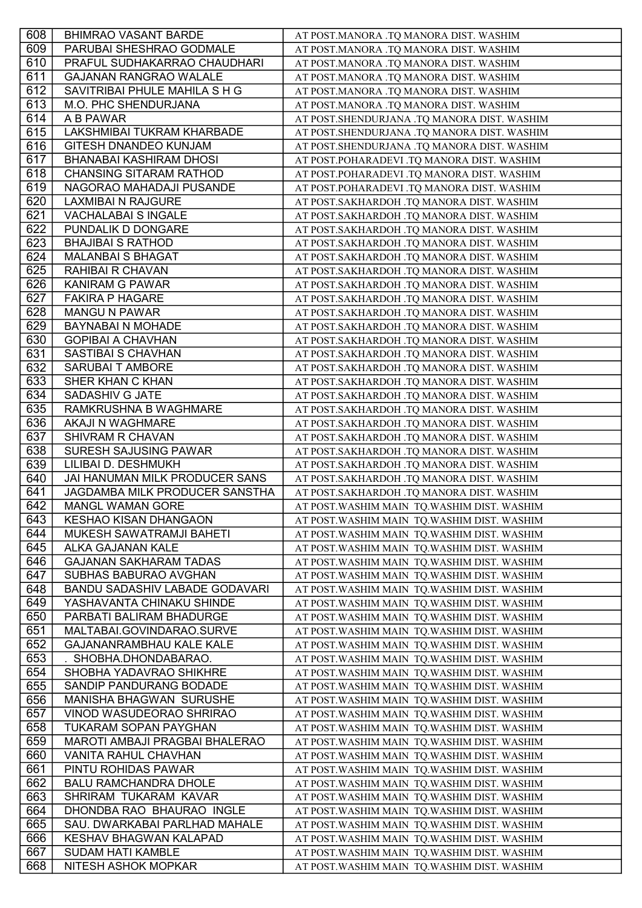| 608 | <b>BHIMRAO VASANT BARDE</b>           | AT POST.MANORA .TQ MANORA DIST. WASHIM       |
|-----|---------------------------------------|----------------------------------------------|
| 609 | PARUBAI SHESHRAO GODMALE              | AT POST.MANORA .TQ MANORA DIST. WASHIM       |
| 610 | PRAFUL SUDHAKARRAO CHAUDHARI          | AT POST.MANORA .TQ MANORA DIST. WASHIM       |
| 611 | <b>GAJANAN RANGRAO WALALE</b>         | AT POST.MANORA .TQ MANORA DIST. WASHIM       |
| 612 | SAVITRIBAI PHULE MAHILA S H G         | AT POST.MANORA .TQ MANORA DIST. WASHIM       |
| 613 | M.O. PHC SHENDURJANA                  | AT POST.MANORA .TQ MANORA DIST. WASHIM       |
| 614 | A B PAWAR                             | AT POST.SHENDURJANA .TQ MANORA DIST. WASHIM  |
| 615 | LAKSHMIBAI TUKRAM KHARBADE            | AT POST.SHENDURJANA .TQ MANORA DIST. WASHIM  |
| 616 | <b>GITESH DNANDEO KUNJAM</b>          | AT POST.SHENDURJANA .TQ MANORA DIST. WASHIM  |
| 617 | <b>BHANABAI KASHIRAM DHOSI</b>        | AT POST.POHARADEVI .TQ MANORA DIST. WASHIM   |
| 618 | <b>CHANSING SITARAM RATHOD</b>        | AT POST.POHARADEVI .TQ MANORA DIST. WASHIM   |
| 619 | NAGORAO MAHADAJI PUSANDE              | AT POST.POHARADEVI .TQ MANORA DIST. WASHIM   |
| 620 | <b>LAXMIBAI N RAJGURE</b>             | AT POST.SAKHARDOH .TQ MANORA DIST. WASHIM    |
| 621 | <b>VACHALABAI S INGALE</b>            | AT POST.SAKHARDOH .TQ MANORA DIST. WASHIM    |
| 622 | PUNDALIK D DONGARE                    | AT POST.SAKHARDOH .TQ MANORA DIST. WASHIM    |
| 623 | <b>BHAJIBAI S RATHOD</b>              | AT POST.SAKHARDOH .TQ MANORA DIST. WASHIM    |
| 624 | <b>MALANBAI S BHAGAT</b>              | AT POST.SAKHARDOH .TQ MANORA DIST. WASHIM    |
| 625 | RAHIBAI R CHAVAN                      | AT POST.SAKHARDOH .TQ MANORA DIST. WASHIM    |
| 626 | <b>KANIRAM G PAWAR</b>                | AT POST.SAKHARDOH .TQ MANORA DIST. WASHIM    |
| 627 | <b>FAKIRA P HAGARE</b>                | AT POST.SAKHARDOH .TQ MANORA DIST. WASHIM    |
| 628 | <b>MANGU N PAWAR</b>                  | AT POST.SAKHARDOH .TQ MANORA DIST. WASHIM    |
| 629 | <b>BAYNABAI N MOHADE</b>              | AT POST.SAKHARDOH .TQ MANORA DIST. WASHIM    |
| 630 | <b>GOPIBAI A CHAVHAN</b>              | AT POST.SAKHARDOH .TQ MANORA DIST. WASHIM    |
| 631 | SASTIBAI S CHAVHAN                    | AT POST.SAKHARDOH .TQ MANORA DIST. WASHIM    |
| 632 | <b>SARUBAI T AMBORE</b>               | AT POST.SAKHARDOH .TQ MANORA DIST. WASHIM    |
| 633 | SHER KHAN C KHAN                      | AT POST.SAKHARDOH .TQ MANORA DIST. WASHIM    |
| 634 | SADASHIV G JATE                       | AT POST.SAKHARDOH .TQ MANORA DIST. WASHIM    |
| 635 | RAMKRUSHNA B WAGHMARE                 | AT POST.SAKHARDOH .TQ MANORA DIST. WASHIM    |
| 636 | AKAJI N WAGHMARE                      | AT POST.SAKHARDOH .TQ MANORA DIST. WASHIM    |
| 637 | <b>SHIVRAM R CHAVAN</b>               | AT POST.SAKHARDOH .TQ MANORA DIST. WASHIM    |
| 638 | <b>SURESH SAJUSING PAWAR</b>          | AT POST.SAKHARDOH .TQ MANORA DIST. WASHIM    |
| 639 | LILIBAI D. DESHMUKH                   | AT POST.SAKHARDOH .TQ MANORA DIST. WASHIM    |
| 640 | JAI HANUMAN MILK PRODUCER SANS        | AT POST.SAKHARDOH .TQ MANORA DIST. WASHIM    |
| 641 | JAGDAMBA MILK PRODUCER SANSTHA        | AT POST.SAKHARDOH .TQ MANORA DIST. WASHIM    |
| 642 | <b>MANGL WAMAN GORE</b>               | AT POST. WASHIM MAIN TQ. WASHIM DIST. WASHIM |
| 643 | <b>KESHAO KISAN DHANGAON</b>          | AT POST. WASHIM MAIN TQ. WASHIM DIST. WASHIM |
| 644 | <b>MUKESH SAWATRAMJI BAHETI</b>       | AT POST. WASHIM MAIN TQ. WASHIM DIST. WASHIM |
| 645 | ALKA GAJANAN KALE                     | AT POST.WASHIM MAIN TQ.WASHIM DIST. WASHIM   |
| 646 | <b>GAJANAN SAKHARAM TADAS</b>         | AT POST. WASHIM MAIN TQ. WASHIM DIST. WASHIM |
| 647 | SUBHAS BABURAO AVGHAN                 | AT POST. WASHIM MAIN TQ. WASHIM DIST. WASHIM |
| 648 | <b>BANDU SADASHIV LABADE GODAVARI</b> | AT POST. WASHIM MAIN TQ. WASHIM DIST. WASHIM |
| 649 | YASHAVANTA CHINAKU SHINDE             | AT POST. WASHIM MAIN TQ. WASHIM DIST. WASHIM |
| 650 | PARBATI BALIRAM BHADURGE              | AT POST. WASHIM MAIN TQ. WASHIM DIST. WASHIM |
| 651 | MALTABAI.GOVINDARAO.SURVE             | AT POST. WASHIM MAIN TQ. WASHIM DIST. WASHIM |
| 652 | GAJANANRAMBHAU KALE KALE              | AT POST.WASHIM MAIN TQ.WASHIM DIST. WASHIM   |
| 653 | . SHOBHA.DHONDABARAO.                 | AT POST. WASHIM MAIN TQ. WASHIM DIST. WASHIM |
| 654 | SHOBHA YADAVRAO SHIKHRE               | AT POST. WASHIM MAIN TQ. WASHIM DIST. WASHIM |
| 655 | SANDIP PANDURANG BODADE               | AT POST. WASHIM MAIN TQ. WASHIM DIST. WASHIM |
| 656 | <b>MANISHA BHAGWAN SURUSHE</b>        | AT POST. WASHIM MAIN TQ. WASHIM DIST. WASHIM |
| 657 | VINOD WASUDEORAO SHRIRAO              | AT POST. WASHIM MAIN TQ. WASHIM DIST. WASHIM |
| 658 | TUKARAM SOPAN PAYGHAN                 | AT POST. WASHIM MAIN TQ. WASHIM DIST. WASHIM |
| 659 | MAROTI AMBAJI PRAGBAI BHALERAO        | AT POST. WASHIM MAIN TQ. WASHIM DIST. WASHIM |
| 660 | VANITA RAHUL CHAVHAN                  | AT POST. WASHIM MAIN TQ. WASHIM DIST. WASHIM |
| 661 | PINTU ROHIDAS PAWAR                   | AT POST. WASHIM MAIN TQ. WASHIM DIST. WASHIM |
| 662 | <b>BALU RAMCHANDRA DHOLE</b>          | AT POST. WASHIM MAIN TQ. WASHIM DIST. WASHIM |
| 663 | SHRIRAM TUKARAM KAVAR                 | AT POST. WASHIM MAIN TQ. WASHIM DIST. WASHIM |
| 664 | DHONDBA RAO BHAURAO INGLE             | AT POST. WASHIM MAIN TQ. WASHIM DIST. WASHIM |
| 665 | SAU. DWARKABAI PARLHAD MAHALE         | AT POST. WASHIM MAIN TQ. WASHIM DIST. WASHIM |
| 666 | <b>KESHAV BHAGWAN KALAPAD</b>         | AT POST.WASHIM MAIN TQ.WASHIM DIST. WASHIM   |
| 667 | <b>SUDAM HATI KAMBLE</b>              | AT POST. WASHIM MAIN TQ. WASHIM DIST. WASHIM |
| 668 | NITESH ASHOK MOPKAR                   | AT POST. WASHIM MAIN TQ. WASHIM DIST. WASHIM |
|     |                                       |                                              |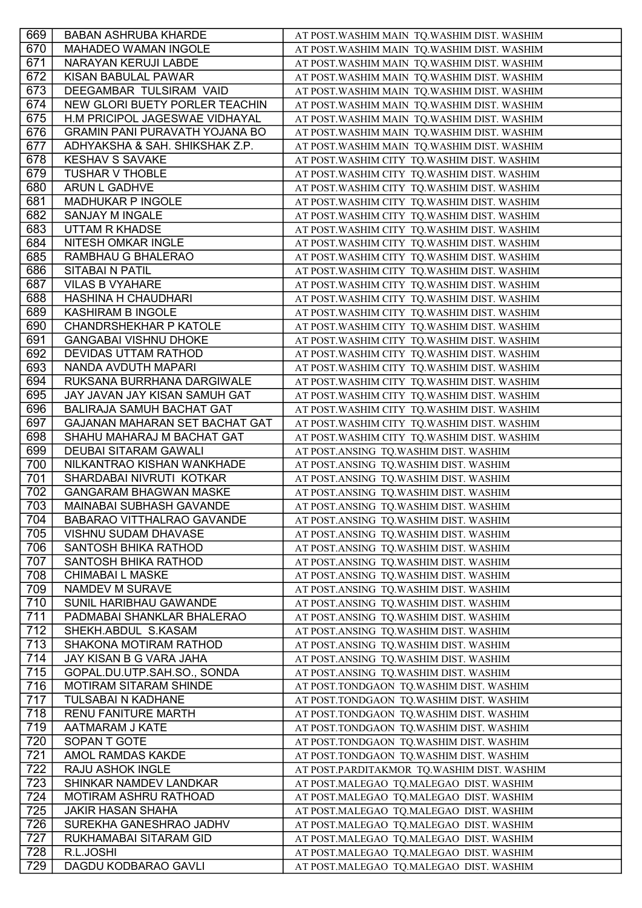| 669 | <b>BABAN ASHRUBA KHARDE</b>           | AT POST. WASHIM MAIN TQ. WASHIM DIST. WASHIM |
|-----|---------------------------------------|----------------------------------------------|
| 670 | <b>MAHADEO WAMAN INGOLE</b>           | AT POST. WASHIM MAIN TQ. WASHIM DIST. WASHIM |
| 671 | NARAYAN KERUJI LABDE                  | AT POST. WASHIM MAIN TQ. WASHIM DIST. WASHIM |
| 672 | KISAN BABULAL PAWAR                   | AT POST. WASHIM MAIN TQ. WASHIM DIST. WASHIM |
| 673 | DEEGAMBAR TULSIRAM VAID               | AT POST.WASHIM MAIN TQ.WASHIM DIST. WASHIM   |
| 674 | NEW GLORI BUETY PORLER TEACHIN        | AT POST. WASHIM MAIN TQ. WASHIM DIST. WASHIM |
| 675 | H.M PRICIPOL JAGESWAE VIDHAYAL        | AT POST. WASHIM MAIN TQ. WASHIM DIST. WASHIM |
| 676 | <b>GRAMIN PANI PURAVATH YOJANA BO</b> | AT POST. WASHIM MAIN TQ. WASHIM DIST. WASHIM |
| 677 | ADHYAKSHA & SAH. SHIKSHAK Z.P.        | AT POST.WASHIM MAIN TQ.WASHIM DIST. WASHIM   |
| 678 | <b>KESHAV S SAVAKE</b>                | AT POST. WASHIM CITY TQ. WASHIM DIST. WASHIM |
| 679 | <b>TUSHAR V THOBLE</b>                | AT POST.WASHIM CITY TQ.WASHIM DIST. WASHIM   |
| 680 | ARUN L GADHVE                         | AT POST. WASHIM CITY TQ. WASHIM DIST. WASHIM |
| 681 | MADHUKAR P INGOLE                     | AT POST.WASHIM CITY TQ.WASHIM DIST. WASHIM   |
| 682 | <b>SANJAY M INGALE</b>                | AT POST. WASHIM CITY TQ. WASHIM DIST. WASHIM |
| 683 | <b>UTTAM R KHADSE</b>                 | AT POST. WASHIM CITY TQ. WASHIM DIST. WASHIM |
| 684 | NITESH OMKAR INGLE                    | AT POST. WASHIM CITY TQ. WASHIM DIST. WASHIM |
| 685 | RAMBHAU G BHALERAO                    | AT POST. WASHIM CITY TQ. WASHIM DIST. WASHIM |
| 686 | <b>SITABAI N PATIL</b>                | AT POST.WASHIM CITY TQ.WASHIM DIST. WASHIM   |
| 687 | <b>VILAS B VYAHARE</b>                | AT POST. WASHIM CITY TQ. WASHIM DIST. WASHIM |
| 688 | HASHINA H CHAUDHARI                   | AT POST.WASHIM CITY TQ.WASHIM DIST. WASHIM   |
| 689 | <b>KASHIRAM B INGOLE</b>              | AT POST. WASHIM CITY TQ. WASHIM DIST. WASHIM |
| 690 | <b>CHANDRSHEKHAR P KATOLE</b>         | AT POST. WASHIM CITY TQ. WASHIM DIST. WASHIM |
| 691 | <b>GANGABAI VISHNU DHOKE</b>          | AT POST. WASHIM CITY TQ. WASHIM DIST. WASHIM |
| 692 | DEVIDAS UTTAM RATHOD                  | AT POST. WASHIM CITY TQ. WASHIM DIST. WASHIM |
| 693 | NANDA AVDUTH MAPARI                   | AT POST.WASHIM CITY TQ.WASHIM DIST. WASHIM   |
| 694 | RUKSANA BURRHANA DARGIWALE            | AT POST.WASHIM CITY TQ.WASHIM DIST. WASHIM   |
| 695 | JAY JAVAN JAY KISAN SAMUH GAT         | AT POST. WASHIM CITY TQ. WASHIM DIST. WASHIM |
| 696 | BALIRAJA SAMUH BACHAT GAT             | AT POST. WASHIM CITY TQ. WASHIM DIST. WASHIM |
| 697 | GAJANAN MAHARAN SET BACHAT GAT        | AT POST. WASHIM CITY TQ. WASHIM DIST. WASHIM |
| 698 | SHAHU MAHARAJ M BACHAT GAT            | AT POST. WASHIM CITY TQ. WASHIM DIST. WASHIM |
| 699 | DEUBAI SITARAM GAWALI                 | AT POST.ANSING TQ.WASHIM DIST. WASHIM        |
| 700 | NILKANTRAO KISHAN WANKHADE            | AT POST.ANSING TQ.WASHIM DIST. WASHIM        |
| 701 | SHARDABAI NIVRUTI KOTKAR              | AT POST.ANSING TQ.WASHIM DIST. WASHIM        |
| 702 | <b>GANGARAM BHAGWAN MASKE</b>         | AT POST.ANSING TQ.WASHIM DIST. WASHIM        |
| 703 | <b>MAINABAI SUBHASH GAVANDE</b>       | AT POST.ANSING TQ.WASHIM DIST. WASHIM        |
| 704 | BABARAO VITTHALRAO GAVANDE            | AT POST.ANSING TQ.WASHIM DIST. WASHIM        |
| 705 | VISHNU SUDAM DHAVASE                  | AT POST.ANSING TQ.WASHIM DIST. WASHIM        |
| 706 | SANTOSH BHIKA RATHOD                  | AT POST.ANSING TQ.WASHIM DIST. WASHIM        |
| 707 | SANTOSH BHIKA RATHOD                  | AT POST.ANSING TQ.WASHIM DIST. WASHIM        |
| 708 | <b>CHIMABAI L MASKE</b>               | AT POST.ANSING TQ.WASHIM DIST. WASHIM        |
| 709 | NAMDEV M SURAVE                       | AT POST.ANSING TQ.WASHIM DIST. WASHIM        |
| 710 | SUNIL HARIBHAU GAWANDE                | AT POST.ANSING TQ.WASHIM DIST. WASHIM        |
| 711 | PADMABAI SHANKLAR BHALERAO            | AT POST.ANSING TQ.WASHIM DIST. WASHIM        |
| 712 | SHEKH.ABDUL S.KASAM                   | AT POST.ANSING TQ.WASHIM DIST. WASHIM        |
| 713 | SHAKONA MOTIRAM RATHOD                | AT POST.ANSING TQ.WASHIM DIST. WASHIM        |
| 714 | JAY KISAN B G VARA JAHA               | AT POST.ANSING TQ.WASHIM DIST. WASHIM        |
| 715 | GOPAL.DU.UTP.SAH.SO., SONDA           | AT POST.ANSING TQ.WASHIM DIST. WASHIM        |
| 716 | <b>MOTIRAM SITARAM SHINDE</b>         | AT POST.TONDGAON TQ.WASHIM DIST. WASHIM      |
| 717 | TULSABAI N KADHANE                    | AT POST.TONDGAON TQ.WASHIM DIST. WASHIM      |
| 718 | <b>RENU FANITURE MARTH</b>            | AT POST.TONDGAON TQ.WASHIM DIST. WASHIM      |
| 719 | AATMARAM J KATE                       | AT POST.TONDGAON TQ.WASHIM DIST. WASHIM      |
| 720 | SOPAN T GOTE                          | AT POST.TONDGAON TQ.WASHIM DIST. WASHIM      |
| 721 | AMOL RAMDAS KAKDE                     | AT POST.TONDGAON TQ.WASHIM DIST. WASHIM      |
| 722 | RAJU ASHOK INGLE                      | AT POST.PARDITAKMOR TQ.WASHIM DIST. WASHIM   |
| 723 | SHINKAR NAMDEV LANDKAR                | AT POST.MALEGAO TQ.MALEGAO DIST. WASHIM      |
| 724 | MOTIRAM ASHRU RATHOAD                 | AT POST.MALEGAO TQ.MALEGAO DIST. WASHIM      |
| 725 | <b>JAKIR HASAN SHAHA</b>              | AT POST.MALEGAO TQ.MALEGAO DIST. WASHIM      |
| 726 | SUREKHA GANESHRAO JADHV               | AT POST.MALEGAO TQ.MALEGAO DIST. WASHIM      |
| 727 | RUKHAMABAI SITARAM GID                | AT POST.MALEGAO TQ.MALEGAO DIST. WASHIM      |
| 728 | R.L.JOSHI                             | AT POST.MALEGAO TQ.MALEGAO DIST. WASHIM      |
| 729 | DAGDU KODBARAO GAVLI                  | AT POST.MALEGAO TQ.MALEGAO DIST. WASHIM      |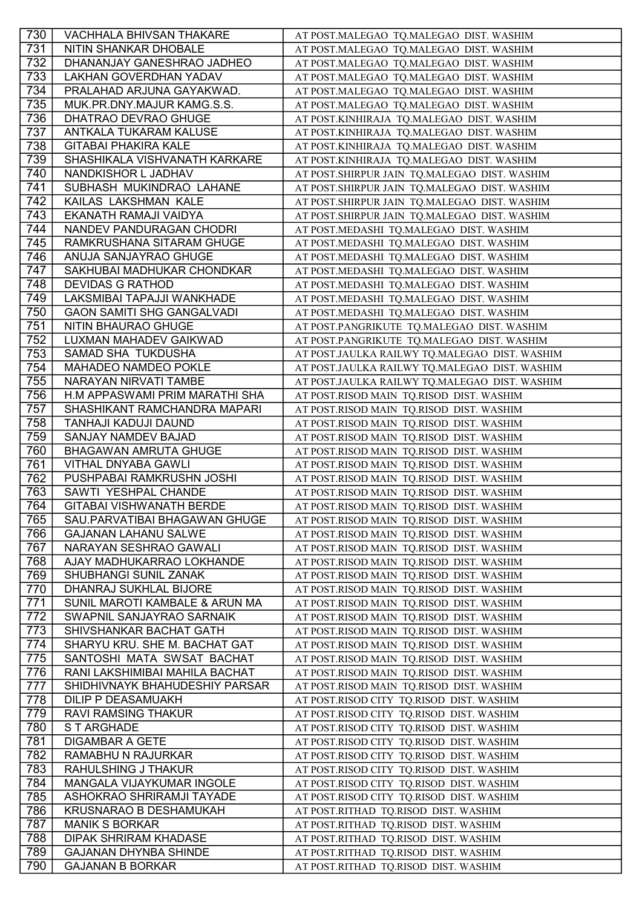| 730 | VACHHALA BHIVSAN THAKARE          | AT POST.MALEGAO TQ.MALEGAO DIST. WASHIM       |
|-----|-----------------------------------|-----------------------------------------------|
| 731 | NITIN SHANKAR DHOBALE             | AT POST.MALEGAO TQ.MALEGAO DIST. WASHIM       |
| 732 | DHANANJAY GANESHRAO JADHEO        | AT POST.MALEGAO TQ.MALEGAO DIST. WASHIM       |
| 733 | LAKHAN GOVERDHAN YADAV            | AT POST.MALEGAO TQ.MALEGAO DIST. WASHIM       |
| 734 | PRALAHAD ARJUNA GAYAKWAD.         | AT POST.MALEGAO TQ.MALEGAO DIST. WASHIM       |
| 735 | MUK.PR.DNY.MAJUR KAMG.S.S.        | AT POST.MALEGAO TQ.MALEGAO DIST. WASHIM       |
| 736 | DHATRAO DEVRAO GHUGE              | AT POST.KINHIRAJA TQ.MALEGAO DIST. WASHIM     |
| 737 | ANTKALA TUKARAM KALUSE            | AT POST.KINHIRAJA TQ.MALEGAO DIST. WASHIM     |
| 738 | <b>GITABAI PHAKIRA KALE</b>       | AT POST.KINHIRAJA TQ.MALEGAO DIST. WASHIM     |
| 739 | SHASHIKALA VISHVANATH KARKARE     | AT POST.KINHIRAJA TQ.MALEGAO DIST. WASHIM     |
| 740 | NANDKISHOR L JADHAV               | AT POST.SHIRPUR JAIN TQ.MALEGAO DIST. WASHIM  |
| 741 | SUBHASH MUKINDRAO LAHANE          | AT POST.SHIRPUR JAIN TQ.MALEGAO DIST. WASHIM  |
| 742 | KAILAS LAKSHMAN KALE              | AT POST.SHIRPUR JAIN TQ.MALEGAO DIST. WASHIM  |
| 743 | EKANATH RAMAJI VAIDYA             | AT POST.SHIRPUR JAIN TQ.MALEGAO DIST. WASHIM  |
| 744 | NANDEV PANDURAGAN CHODRI          | AT POST.MEDASHI TQ.MALEGAO DIST. WASHIM       |
| 745 | RAMKRUSHANA SITARAM GHUGE         | AT POST.MEDASHI TQ.MALEGAO DIST. WASHIM       |
| 746 | ANUJA SANJAYRAO GHUGE             | AT POST.MEDASHI TQ.MALEGAO DIST. WASHIM       |
| 747 | SAKHUBAI MADHUKAR CHONDKAR        | AT POST.MEDASHI TQ.MALEGAO DIST. WASHIM       |
| 748 | <b>DEVIDAS G RATHOD</b>           | AT POST.MEDASHI TQ.MALEGAO DIST. WASHIM       |
| 749 | LAKSMIBAI TAPAJJI WANKHADE        | AT POST.MEDASHI TQ.MALEGAO DIST. WASHIM       |
| 750 | <b>GAON SAMITI SHG GANGALVADI</b> | AT POST.MEDASHI TQ.MALEGAO DIST. WASHIM       |
| 751 | NITIN BHAURAO GHUGE               | AT POST.PANGRIKUTE TQ.MALEGAO DIST. WASHIM    |
| 752 | LUXMAN MAHADEV GAIKWAD            | AT POST.PANGRIKUTE TQ.MALEGAO DIST. WASHIM    |
| 753 | SAMAD SHA TUKDUSHA                | AT POST.JAULKA RAILWY TQ.MALEGAO DIST. WASHIM |
| 754 | <b>MAHADEO NAMDEO POKLE</b>       | AT POST.JAULKA RAILWY TQ.MALEGAO DIST. WASHIM |
| 755 | NARAYAN NIRVATI TAMBE             | AT POST.JAULKA RAILWY TQ.MALEGAO DIST. WASHIM |
| 756 | H.M APPASWAMI PRIM MARATHI SHA    | AT POST.RISOD MAIN TQ.RISOD DIST. WASHIM      |
| 757 | SHASHIKANT RAMCHANDRA MAPARI      | AT POST.RISOD MAIN TQ.RISOD DIST. WASHIM      |
| 758 | TANHAJI KADUJI DAUND              | AT POST.RISOD MAIN TQ.RISOD DIST. WASHIM      |
| 759 | SANJAY NAMDEV BAJAD               | AT POST.RISOD MAIN TQ.RISOD DIST. WASHIM      |
| 760 | <b>BHAGAWAN AMRUTA GHUGE</b>      | AT POST.RISOD MAIN TQ.RISOD DIST. WASHIM      |
| 761 | <b>VITHAL DNYABA GAWLI</b>        | AT POST.RISOD MAIN TQ.RISOD DIST. WASHIM      |
| 762 | PUSHPABAI RAMKRUSHN JOSHI         | AT POST.RISOD MAIN TQ.RISOD DIST. WASHIM      |
| 763 | SAWTI YESHPAL CHANDE              | AT POST.RISOD MAIN TQ.RISOD DIST. WASHIM      |
| 764 | <b>GITABAI VISHWANATH BERDE</b>   | AT POST.RISOD MAIN TQ.RISOD DIST. WASHIM      |
| 765 | SAU.PARVATIBAI BHAGAWAN GHUGE     | AT POST.RISOD MAIN TQ.RISOD DIST. WASHIM      |
| 766 | <b>GAJANAN LAHANU SALWE</b>       | AT POST.RISOD MAIN TQ.RISOD DIST. WASHIM      |
| 767 | NARAYAN SESHRAO GAWALI            | AT POST.RISOD MAIN TQ.RISOD DIST. WASHIM      |
| 768 | AJAY MADHUKARRAO LOKHANDE         | AT POST.RISOD MAIN TQ.RISOD DIST. WASHIM      |
| 769 | SHUBHANGI SUNIL ZANAK             | AT POST.RISOD MAIN TQ.RISOD DIST. WASHIM      |
| 770 | DHANRAJ SUKHLAL BIJORE            | AT POST.RISOD MAIN TQ.RISOD DIST. WASHIM      |
| 771 | SUNIL MAROTI KAMBALE & ARUN MA    | AT POST.RISOD MAIN TQ.RISOD DIST. WASHIM      |
| 772 | SWAPNIL SANJAYRAO SARNAIK         | AT POST.RISOD MAIN TQ.RISOD DIST. WASHIM      |
| 773 | SHIVSHANKAR BACHAT GATH           | AT POST.RISOD MAIN TQ.RISOD DIST. WASHIM      |
| 774 | SHARYU KRU. SHE M. BACHAT GAT     | AT POST.RISOD MAIN TQ.RISOD DIST. WASHIM      |
| 775 | SANTOSHI MATA SWSAT BACHAT        | AT POST.RISOD MAIN TQ.RISOD DIST. WASHIM      |
| 776 | RANI LAKSHIMIBAI MAHILA BACHAT    | AT POST.RISOD MAIN TQ.RISOD DIST. WASHIM      |
| 777 | SHIDHIVNAYK BHAHUDESHIY PARSAR    | AT POST.RISOD MAIN TQ.RISOD DIST. WASHIM      |
| 778 | <b>DILIP P DEASAMUAKH</b>         | AT POST.RISOD CITY TQ.RISOD DIST. WASHIM      |
| 779 | <b>RAVI RAMSING THAKUR</b>        | AT POST.RISOD CITY TQ.RISOD DIST. WASHIM      |
| 780 | S T ARGHADE                       | AT POST.RISOD CITY TQ.RISOD DIST. WASHIM      |
| 781 | <b>DIGAMBAR A GETE</b>            | AT POST.RISOD CITY TQ.RISOD DIST. WASHIM      |
| 782 | RAMABHU N RAJURKAR                | AT POST.RISOD CITY TQ.RISOD DIST. WASHIM      |
| 783 | RAHULSHING J THAKUR               | AT POST.RISOD CITY TQ.RISOD DIST. WASHIM      |
| 784 | MANGALA VIJAYKUMAR INGOLE         | AT POST.RISOD CITY TQ.RISOD DIST. WASHIM      |
| 785 | ASHOKRAO SHRIRAMJI TAYADE         | AT POST.RISOD CITY TQ.RISOD DIST. WASHIM      |
| 786 | KRUSNARAO B DESHAMUKAH            | AT POST.RITHAD TQ.RISOD DIST. WASHIM          |
| 787 | <b>MANIK S BORKAR</b>             | AT POST.RITHAD TQ.RISOD DIST. WASHIM          |
| 788 | <b>DIPAK SHRIRAM KHADASE</b>      | AT POST.RITHAD TQ.RISOD DIST. WASHIM          |
| 789 | <b>GAJANAN DHYNBA SHINDE</b>      | AT POST.RITHAD TQ.RISOD DIST. WASHIM          |
| 790 | <b>GAJANAN B BORKAR</b>           | AT POST.RITHAD TQ.RISOD DIST. WASHIM          |